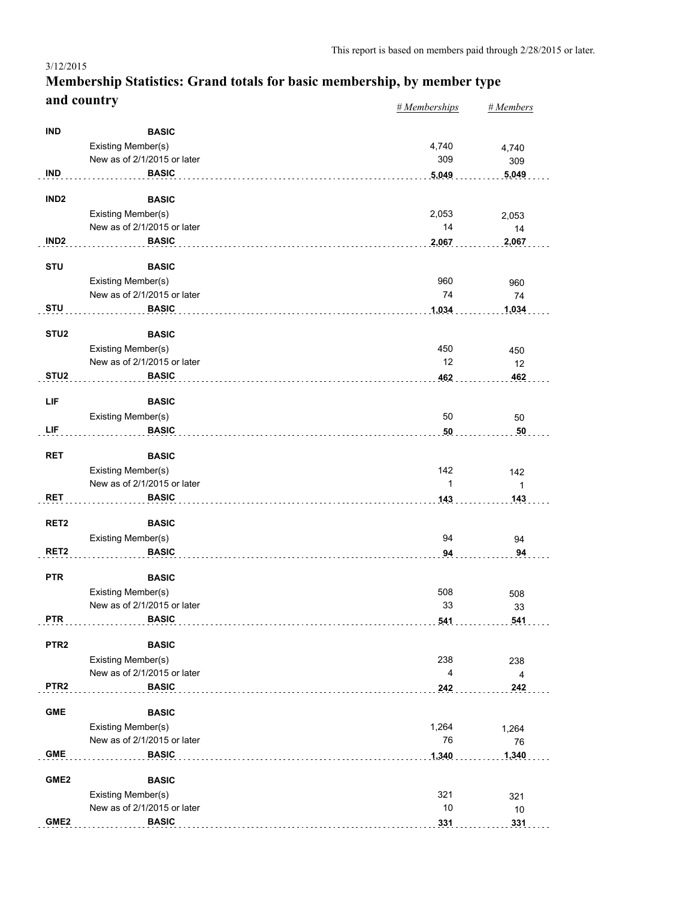#### *# Memberships # Members* **Membership Statistics: Grand totals for basic membership, by member type and country** 3/12/2015

|                  |                                                   | $n$ <i>m</i> cmocromps  | $n$ <i>inchibers</i> |
|------------------|---------------------------------------------------|-------------------------|----------------------|
| <b>IND</b>       | <b>BASIC</b>                                      |                         |                      |
|                  | Existing Member(s)                                | 4,740                   | 4,740                |
|                  | New as of 2/1/2015 or later                       | 309                     | 309                  |
| <b>IND</b>       | <b>BASIC</b>                                      | 5,049                   | 5,049                |
|                  |                                                   |                         |                      |
| IND <sub>2</sub> | <b>BASIC</b>                                      |                         |                      |
|                  | Existing Member(s)                                | 2,053                   | 2,053                |
|                  | New as of 2/1/2015 or later                       | 14                      | 14                   |
| IND <sub>2</sub> | <b>BASIC</b>                                      | 2,067                   | 2,067                |
| <b>STU</b>       | <b>BASIC</b>                                      |                         |                      |
|                  | Existing Member(s)                                | 960                     | 960                  |
|                  | New as of 2/1/2015 or later                       | 74                      | 74                   |
| <b>STU</b>       | <b>BASIC</b>                                      | 1,034                   | 1,034                |
| STU <sub>2</sub> | <b>BASIC</b>                                      |                         |                      |
|                  | Existing Member(s)                                | 450                     | 450                  |
|                  | New as of 2/1/2015 or later                       | 12                      | 12                   |
| STU <sub>2</sub> | <b>BASIC</b>                                      | 462                     | 462                  |
|                  |                                                   |                         |                      |
| LIF              | <b>BASIC</b>                                      |                         |                      |
|                  | Existing Member(s)                                | 50                      | 50                   |
| LIF              | <b>BASIC</b>                                      | 50                      | 50                   |
| <b>RET</b>       | <b>BASIC</b>                                      |                         |                      |
|                  | Existing Member(s)                                | 142                     | 142                  |
|                  | New as of 2/1/2015 or later                       | 1                       | 1                    |
| RET              | <b>BASIC</b>                                      | 143                     | 143                  |
|                  |                                                   |                         |                      |
| RET <sub>2</sub> | <b>BASIC</b>                                      |                         |                      |
|                  | Existing Member(s)                                | 94                      | 94                   |
| RET <sub>2</sub> | <b>BASIC</b>                                      | 94                      | 94                   |
| <b>PTR</b>       | <b>BASIC</b>                                      |                         |                      |
|                  | Existing Member(s)                                | 508                     | 508                  |
|                  | New as of 2/1/2015 or later                       | 33                      | 33                   |
| <b>PTR</b>       | <b>BASIC</b>                                      | 541                     | 541                  |
| PTR <sub>2</sub> |                                                   |                         |                      |
|                  | <b>BASIC</b><br><b>Existing Member(s)</b>         | 238                     |                      |
|                  | New as of 2/1/2015 or later                       | $\overline{\mathbf{4}}$ | 238                  |
| PTR <sub>2</sub> | <b>BASIC</b>                                      | 242                     | 4<br>242             |
|                  |                                                   |                         |                      |
| <b>GME</b>       | <b>BASIC</b>                                      |                         |                      |
|                  | Existing Member(s)                                | 1,264                   | 1,264                |
|                  | New as of 2/1/2015 or later                       | 76                      | 76                   |
| <b>GME</b>       | <b>BASIC</b>                                      | 1,340                   | 1,340                |
| GME <sub>2</sub> | <b>BASIC</b>                                      |                         |                      |
|                  |                                                   |                         |                      |
|                  | Existing Member(s)<br>New as of 2/1/2015 or later | 321<br>$10$             | 321                  |
| GME2             | <b>BASIC</b>                                      |                         | 10                   |
|                  |                                                   | 331                     | 331                  |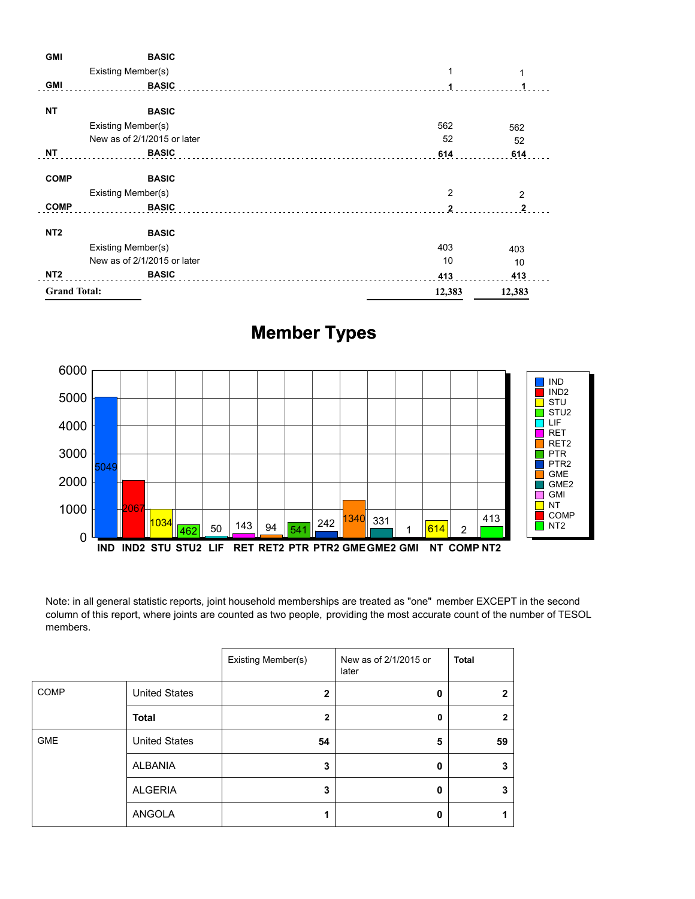| <b>GMI</b>          | <b>BASIC</b>                |                |                |
|---------------------|-----------------------------|----------------|----------------|
|                     | Existing Member(s)          | 1              |                |
| <b>GMI</b>          | <b>BASIC</b>                |                |                |
| <b>NT</b>           | <b>BASIC</b>                |                |                |
|                     | Existing Member(s)          | 562            | 562            |
|                     | New as of 2/1/2015 or later | 52             | 52             |
| <b>NT</b>           | <b>BASIC</b>                | 614            | 614            |
| <b>COMP</b>         | <b>BASIC</b>                |                |                |
|                     | Existing Member(s)          | $\overline{2}$ | $\overline{2}$ |
| <b>COMP</b>         | <b>BASIC</b>                | $\mathbf{2}$   | $\mathbf{2}$   |
| NT <sub>2</sub>     | <b>BASIC</b>                |                |                |
|                     | Existing Member(s)          | 403            | 403            |
|                     | New as of 2/1/2015 or later | 10             | 10             |
| NT <sub>2</sub>     | <b>BASIC</b>                | 413            | 413            |
| <b>Grand Total:</b> |                             | 12,383         | 12,383         |

# **Member Types**



Note: in all general statistic reports, joint household memberships are treated as "one" member EXCEPT in the second column of this report, where joints are counted as two people, providing the most accurate count of the number of TESOL members.

|             |                      | Existing Member(s) | New as of 2/1/2015 or<br>later | <b>Total</b> |
|-------------|----------------------|--------------------|--------------------------------|--------------|
| <b>COMP</b> | <b>United States</b> | $\mathbf{2}$       | 0                              | כי           |
|             | <b>Total</b>         | 2                  | 0                              | 2            |
| <b>GME</b>  | <b>United States</b> | 54                 | 5                              | 59           |
|             | ALBANIA              | 3                  | 0                              | 3            |
|             | <b>ALGERIA</b>       | 3                  | 0                              | 3            |
|             | ANGOLA               |                    | Ω                              |              |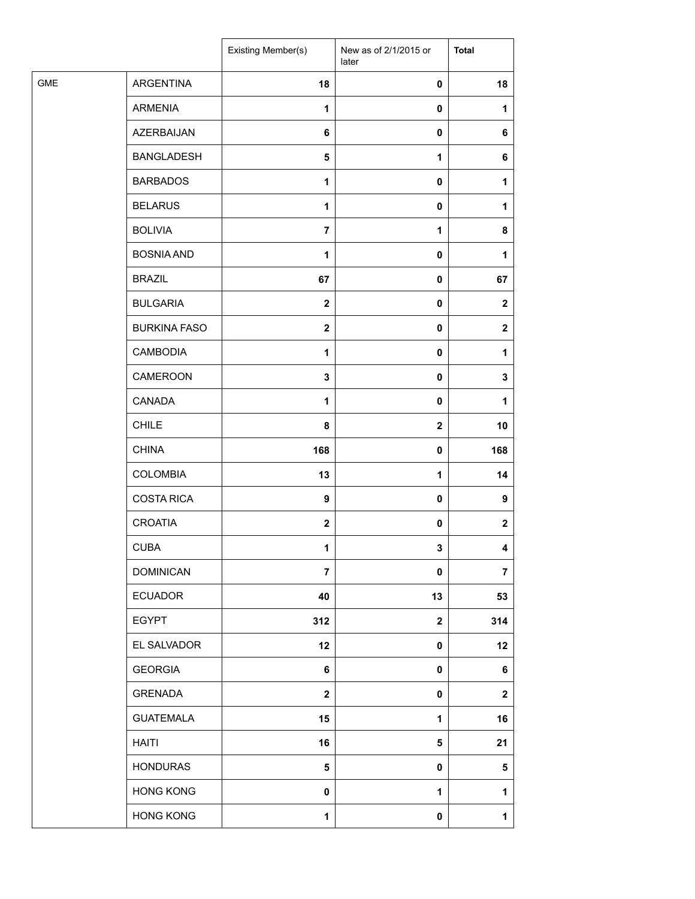| <b>GME</b><br>ARGENTINA<br>18<br>18<br>0<br><b>ARMENIA</b><br>1<br>0<br>1<br>AZERBAIJAN<br>6<br>0<br><b>BANGLADESH</b><br>5<br>1<br>6<br><b>BARBADOS</b><br>1<br>0<br>1<br><b>BELARUS</b><br>1<br>0<br>1<br><b>BOLIVIA</b><br>$\overline{7}$<br>$\mathbf 1$<br>8<br><b>BOSNIA AND</b><br>$\pmb{0}$<br>1<br>1<br><b>BRAZIL</b><br>67<br>0<br>67<br><b>BULGARIA</b><br>$\mathbf{2}$<br>0<br>$\mathbf{2}$<br><b>BURKINA FASO</b><br>$\mathbf{2}$<br>0<br><b>CAMBODIA</b><br>$\mathbf{1}$<br>0<br>$\mathbf{1}$<br>CAMEROON<br>$\mathbf 3$<br>0<br>3<br>CANADA<br>1<br>0<br>1<br><b>CHILE</b><br>8<br>$\mathbf 2$<br>10<br><b>CHINA</b><br>168<br>168<br>0<br><b>COLOMBIA</b><br>13<br>$\mathbf{1}$<br>14<br><b>COSTA RICA</b><br>9<br>0<br>9<br><b>CROATIA</b><br>$\mathbf 2$<br>0<br><b>CUBA</b><br>3<br>1<br><b>DOMINICAN</b><br>$\overline{7}$<br>$\overline{7}$<br>$\pmb{0}$<br><b>ECUADOR</b><br>40<br>13<br><b>EGYPT</b><br>312<br>$\mathbf 2$<br>EL SALVADOR<br>12<br>$\pmb{0}$<br><b>GEORGIA</b><br>6<br>$\pmb{0}$<br>GRENADA<br>$\mathbf{2}$<br>0<br><b>GUATEMALA</b><br>15<br>$\mathbf 1$<br><b>HAITI</b><br>16<br>5<br>21<br><b>HONDURAS</b><br>$\overline{\mathbf{5}}$<br>$\pmb{0}$<br>5<br><b>HONG KONG</b><br>$\pmb{0}$<br>$\mathbf 1$<br>1<br><b>HONG KONG</b><br>$\mathbf{1}$<br>0 |  | Existing Member(s) | New as of 2/1/2015 or<br>later | <b>Total</b> |
|------------------------------------------------------------------------------------------------------------------------------------------------------------------------------------------------------------------------------------------------------------------------------------------------------------------------------------------------------------------------------------------------------------------------------------------------------------------------------------------------------------------------------------------------------------------------------------------------------------------------------------------------------------------------------------------------------------------------------------------------------------------------------------------------------------------------------------------------------------------------------------------------------------------------------------------------------------------------------------------------------------------------------------------------------------------------------------------------------------------------------------------------------------------------------------------------------------------------------------------------------------------------------------------------|--|--------------------|--------------------------------|--------------|
|                                                                                                                                                                                                                                                                                                                                                                                                                                                                                                                                                                                                                                                                                                                                                                                                                                                                                                                                                                                                                                                                                                                                                                                                                                                                                                |  |                    |                                |              |
|                                                                                                                                                                                                                                                                                                                                                                                                                                                                                                                                                                                                                                                                                                                                                                                                                                                                                                                                                                                                                                                                                                                                                                                                                                                                                                |  |                    |                                |              |
|                                                                                                                                                                                                                                                                                                                                                                                                                                                                                                                                                                                                                                                                                                                                                                                                                                                                                                                                                                                                                                                                                                                                                                                                                                                                                                |  |                    |                                | 6            |
|                                                                                                                                                                                                                                                                                                                                                                                                                                                                                                                                                                                                                                                                                                                                                                                                                                                                                                                                                                                                                                                                                                                                                                                                                                                                                                |  |                    |                                |              |
|                                                                                                                                                                                                                                                                                                                                                                                                                                                                                                                                                                                                                                                                                                                                                                                                                                                                                                                                                                                                                                                                                                                                                                                                                                                                                                |  |                    |                                |              |
|                                                                                                                                                                                                                                                                                                                                                                                                                                                                                                                                                                                                                                                                                                                                                                                                                                                                                                                                                                                                                                                                                                                                                                                                                                                                                                |  |                    |                                |              |
|                                                                                                                                                                                                                                                                                                                                                                                                                                                                                                                                                                                                                                                                                                                                                                                                                                                                                                                                                                                                                                                                                                                                                                                                                                                                                                |  |                    |                                |              |
|                                                                                                                                                                                                                                                                                                                                                                                                                                                                                                                                                                                                                                                                                                                                                                                                                                                                                                                                                                                                                                                                                                                                                                                                                                                                                                |  |                    |                                |              |
|                                                                                                                                                                                                                                                                                                                                                                                                                                                                                                                                                                                                                                                                                                                                                                                                                                                                                                                                                                                                                                                                                                                                                                                                                                                                                                |  |                    |                                |              |
|                                                                                                                                                                                                                                                                                                                                                                                                                                                                                                                                                                                                                                                                                                                                                                                                                                                                                                                                                                                                                                                                                                                                                                                                                                                                                                |  |                    |                                |              |
|                                                                                                                                                                                                                                                                                                                                                                                                                                                                                                                                                                                                                                                                                                                                                                                                                                                                                                                                                                                                                                                                                                                                                                                                                                                                                                |  |                    |                                | $\mathbf{2}$ |
|                                                                                                                                                                                                                                                                                                                                                                                                                                                                                                                                                                                                                                                                                                                                                                                                                                                                                                                                                                                                                                                                                                                                                                                                                                                                                                |  |                    |                                |              |
|                                                                                                                                                                                                                                                                                                                                                                                                                                                                                                                                                                                                                                                                                                                                                                                                                                                                                                                                                                                                                                                                                                                                                                                                                                                                                                |  |                    |                                |              |
|                                                                                                                                                                                                                                                                                                                                                                                                                                                                                                                                                                                                                                                                                                                                                                                                                                                                                                                                                                                                                                                                                                                                                                                                                                                                                                |  |                    |                                |              |
|                                                                                                                                                                                                                                                                                                                                                                                                                                                                                                                                                                                                                                                                                                                                                                                                                                                                                                                                                                                                                                                                                                                                                                                                                                                                                                |  |                    |                                |              |
|                                                                                                                                                                                                                                                                                                                                                                                                                                                                                                                                                                                                                                                                                                                                                                                                                                                                                                                                                                                                                                                                                                                                                                                                                                                                                                |  |                    |                                |              |
|                                                                                                                                                                                                                                                                                                                                                                                                                                                                                                                                                                                                                                                                                                                                                                                                                                                                                                                                                                                                                                                                                                                                                                                                                                                                                                |  |                    |                                |              |
|                                                                                                                                                                                                                                                                                                                                                                                                                                                                                                                                                                                                                                                                                                                                                                                                                                                                                                                                                                                                                                                                                                                                                                                                                                                                                                |  |                    |                                |              |
|                                                                                                                                                                                                                                                                                                                                                                                                                                                                                                                                                                                                                                                                                                                                                                                                                                                                                                                                                                                                                                                                                                                                                                                                                                                                                                |  |                    |                                | $\mathbf{2}$ |
|                                                                                                                                                                                                                                                                                                                                                                                                                                                                                                                                                                                                                                                                                                                                                                                                                                                                                                                                                                                                                                                                                                                                                                                                                                                                                                |  |                    |                                | 4            |
|                                                                                                                                                                                                                                                                                                                                                                                                                                                                                                                                                                                                                                                                                                                                                                                                                                                                                                                                                                                                                                                                                                                                                                                                                                                                                                |  |                    |                                |              |
|                                                                                                                                                                                                                                                                                                                                                                                                                                                                                                                                                                                                                                                                                                                                                                                                                                                                                                                                                                                                                                                                                                                                                                                                                                                                                                |  |                    |                                | 53           |
|                                                                                                                                                                                                                                                                                                                                                                                                                                                                                                                                                                                                                                                                                                                                                                                                                                                                                                                                                                                                                                                                                                                                                                                                                                                                                                |  |                    |                                | 314          |
|                                                                                                                                                                                                                                                                                                                                                                                                                                                                                                                                                                                                                                                                                                                                                                                                                                                                                                                                                                                                                                                                                                                                                                                                                                                                                                |  |                    |                                | 12           |
|                                                                                                                                                                                                                                                                                                                                                                                                                                                                                                                                                                                                                                                                                                                                                                                                                                                                                                                                                                                                                                                                                                                                                                                                                                                                                                |  |                    |                                | 6            |
|                                                                                                                                                                                                                                                                                                                                                                                                                                                                                                                                                                                                                                                                                                                                                                                                                                                                                                                                                                                                                                                                                                                                                                                                                                                                                                |  |                    |                                | $\mathbf 2$  |
|                                                                                                                                                                                                                                                                                                                                                                                                                                                                                                                                                                                                                                                                                                                                                                                                                                                                                                                                                                                                                                                                                                                                                                                                                                                                                                |  |                    |                                | 16           |
|                                                                                                                                                                                                                                                                                                                                                                                                                                                                                                                                                                                                                                                                                                                                                                                                                                                                                                                                                                                                                                                                                                                                                                                                                                                                                                |  |                    |                                |              |
|                                                                                                                                                                                                                                                                                                                                                                                                                                                                                                                                                                                                                                                                                                                                                                                                                                                                                                                                                                                                                                                                                                                                                                                                                                                                                                |  |                    |                                |              |
|                                                                                                                                                                                                                                                                                                                                                                                                                                                                                                                                                                                                                                                                                                                                                                                                                                                                                                                                                                                                                                                                                                                                                                                                                                                                                                |  |                    |                                |              |
|                                                                                                                                                                                                                                                                                                                                                                                                                                                                                                                                                                                                                                                                                                                                                                                                                                                                                                                                                                                                                                                                                                                                                                                                                                                                                                |  |                    |                                | $\mathbf{1}$ |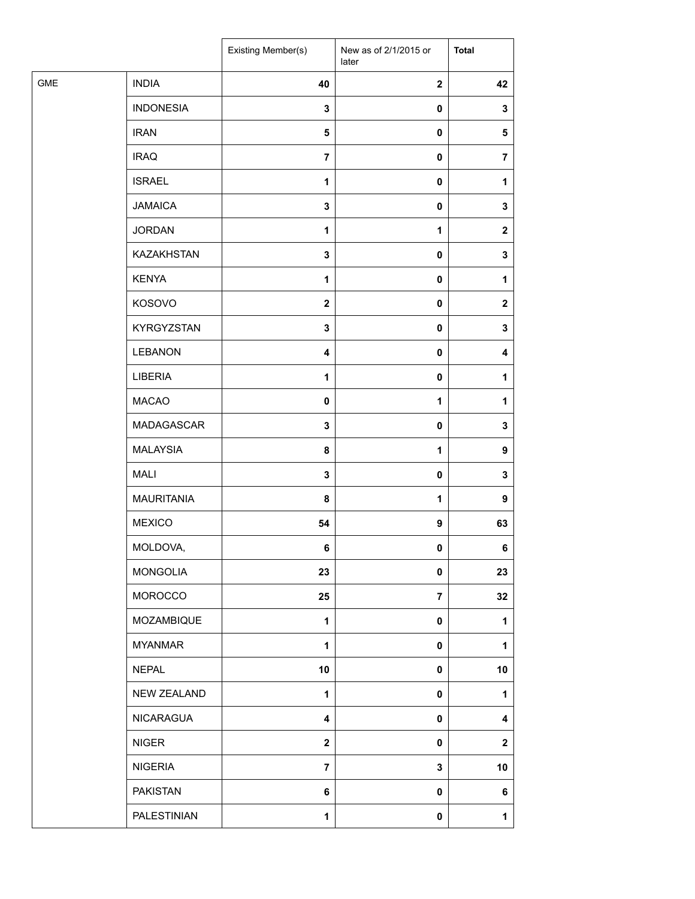|            |                   | Existing Member(s)      | New as of 2/1/2015 or<br>later | <b>Total</b>            |
|------------|-------------------|-------------------------|--------------------------------|-------------------------|
| <b>GME</b> | <b>INDIA</b>      | 40                      | $\mathbf{2}$                   | 42                      |
|            | <b>INDONESIA</b>  | $\mathbf 3$             | $\pmb{0}$                      | 3                       |
|            | <b>IRAN</b>       | ${\bf 5}$               | $\pmb{0}$                      | $\sqrt{5}$              |
|            | <b>IRAQ</b>       | $\overline{7}$          | $\pmb{0}$                      | $\overline{\mathbf{r}}$ |
|            | <b>ISRAEL</b>     | 1                       | 0                              | 1                       |
|            | <b>JAMAICA</b>    | 3                       | $\pmb{0}$                      | 3                       |
|            | <b>JORDAN</b>     | $\mathbf{1}$            | $\mathbf{1}$                   | $\mathbf{2}$            |
|            | KAZAKHSTAN        | $\mathbf 3$             | $\pmb{0}$                      | 3                       |
|            | <b>KENYA</b>      | 1                       | $\pmb{0}$                      | 1                       |
|            | KOSOVO            | $\mathbf{2}$            | $\pmb{0}$                      | $\mathbf{2}$            |
|            | KYRGYZSTAN        | 3                       | $\pmb{0}$                      | 3                       |
|            | <b>LEBANON</b>    | $\overline{\mathbf{4}}$ | $\pmb{0}$                      | 4                       |
|            | LIBERIA           | $\mathbf{1}$            | $\pmb{0}$                      | 1                       |
|            | <b>MACAO</b>      | 0                       | 1                              | 1                       |
|            | MADAGASCAR        | $\mathbf 3$             | $\pmb{0}$                      | 3                       |
|            | <b>MALAYSIA</b>   | 8                       | $\mathbf{1}$                   | 9                       |
|            | <b>MALI</b>       | 3                       | $\pmb{0}$                      | 3                       |
|            | <b>MAURITANIA</b> | 8                       | 1                              | 9                       |
|            | <b>MEXICO</b>     | 54                      | $\boldsymbol{9}$               | 63                      |
|            | MOLDOVA,          | 6                       | $\mathbf 0$                    | 6                       |
|            | <b>MONGOLIA</b>   | 23                      | $\pmb{0}$                      | 23                      |
|            | MOROCCO           | 25                      | $\overline{7}$                 | 32                      |
|            | MOZAMBIQUE        | 1                       | $\pmb{0}$                      | 1                       |
|            | <b>MYANMAR</b>    | $\mathbf{1}$            | $\pmb{0}$                      | 1                       |
|            | <b>NEPAL</b>      | 10                      | $\pmb{0}$                      | $10$                    |
|            | NEW ZEALAND       | 1                       | 0                              | 1                       |
|            | <b>NICARAGUA</b>  | 4                       | $\pmb{0}$                      | 4                       |
|            | <b>NIGER</b>      | $\boldsymbol{2}$        | $\pmb{0}$                      | $\mathbf{2}$            |
|            | <b>NIGERIA</b>    | $\overline{7}$          | 3                              | 10                      |
|            | <b>PAKISTAN</b>   | 6                       | $\pmb{0}$                      | 6                       |
|            | PALESTINIAN       | $\mathbf{1}$            | $\pmb{0}$                      | 1                       |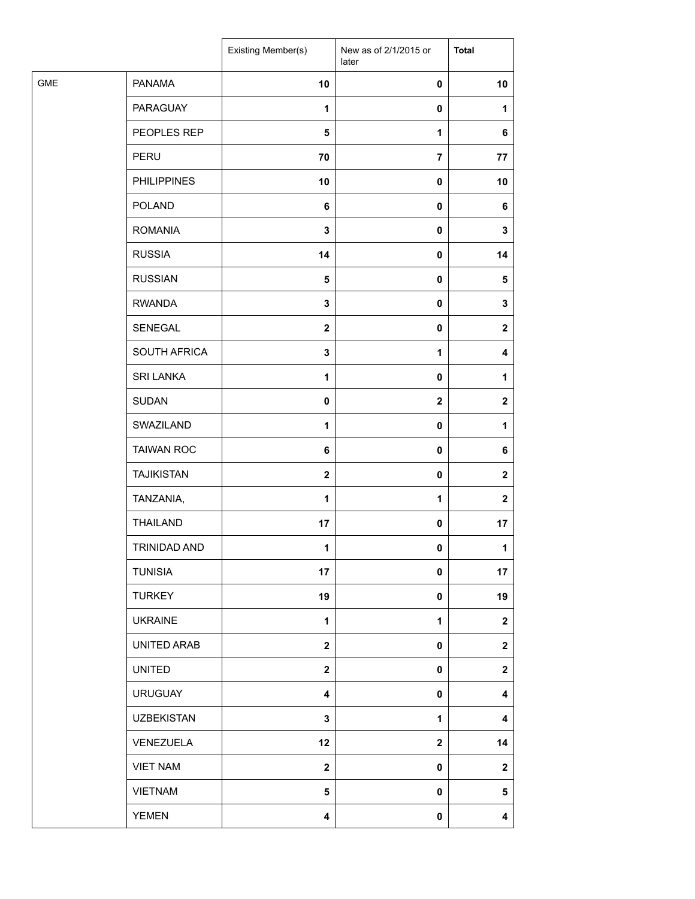| <b>GME</b><br><b>PANAMA</b><br>10<br>10<br>$\pmb{0}$<br><b>PARAGUAY</b><br>1<br>$\pmb{0}$<br>1<br>PEOPLES REP<br>$\overline{\mathbf{5}}$<br>1<br>6<br>PERU<br>70<br>$\overline{7}$<br>77<br><b>PHILIPPINES</b><br>10<br>10<br>0<br><b>POLAND</b><br>6<br>$\pmb{0}$<br>6<br><b>ROMANIA</b><br>3<br>$\pmb{0}$<br>3<br><b>RUSSIA</b><br>14<br>$\pmb{0}$<br>14<br><b>RUSSIAN</b><br>5<br>$\pmb{0}$<br>$\sqrt{5}$<br><b>RWANDA</b><br>$\mathbf 3$<br>$\pmb{0}$<br>3<br>SENEGAL<br>$\boldsymbol{2}$<br>$\pmb{0}$<br>$\mathbf{2}$<br>SOUTH AFRICA<br>$\mathbf 3$<br>$\mathbf{1}$<br>4<br><b>SRI LANKA</b><br>$\mathbf{1}$<br>$\pmb{0}$<br>1<br><b>SUDAN</b><br>0<br>$\mathbf{2}$<br>$\mathbf{2}$<br>SWAZILAND<br>1<br>$\pmb{0}$<br>1<br><b>TAIWAN ROC</b><br>6<br>$\pmb{0}$<br>6<br><b>TAJIKISTAN</b><br>$\mathbf{2}$<br>$\pmb{0}$<br>$\mathbf{2}$<br>TANZANIA,<br>1<br>1<br>$\mathbf{2}$<br><b>THAILAND</b><br>17<br>$\pmb{0}$<br>17<br>TRINIDAD AND<br>1<br>$\mathbf 0$<br>1<br><b>TUNISIA</b><br>17<br>$\pmb{0}$<br>17<br><b>TURKEY</b><br>19<br>19<br>$\pmb{0}$<br><b>UKRAINE</b><br>$\mathbf{1}$<br>$\mathbf{1}$<br>$\mathbf{2}$<br>UNITED ARAB<br>$\mathbf{2}$<br>$\pmb{0}$<br>$\mathbf{2}$<br><b>UNITED</b><br>$\overline{\mathbf{2}}$<br>$\pmb{0}$<br>$\mathbf{2}$<br><b>URUGUAY</b><br>4<br>0<br>4<br><b>UZBEKISTAN</b><br>${\bf 3}$<br>1<br>4<br>VENEZUELA<br>12<br>$\mathbf{2}$<br>14<br><b>VIET NAM</b><br>$\mathbf{2}$<br>$\pmb{0}$<br>$\mathbf{2}$<br><b>VIETNAM</b><br>5<br>$\pmb{0}$<br>5<br><b>YEMEN</b><br>$\overline{\mathbf{4}}$<br>$\pmb{0}$<br>$\overline{\mathbf{4}}$ |  | Existing Member(s) | New as of 2/1/2015 or<br>later | <b>Total</b> |
|---------------------------------------------------------------------------------------------------------------------------------------------------------------------------------------------------------------------------------------------------------------------------------------------------------------------------------------------------------------------------------------------------------------------------------------------------------------------------------------------------------------------------------------------------------------------------------------------------------------------------------------------------------------------------------------------------------------------------------------------------------------------------------------------------------------------------------------------------------------------------------------------------------------------------------------------------------------------------------------------------------------------------------------------------------------------------------------------------------------------------------------------------------------------------------------------------------------------------------------------------------------------------------------------------------------------------------------------------------------------------------------------------------------------------------------------------------------------------------------------------------------------------------------------------------------------------------------|--|--------------------|--------------------------------|--------------|
|                                                                                                                                                                                                                                                                                                                                                                                                                                                                                                                                                                                                                                                                                                                                                                                                                                                                                                                                                                                                                                                                                                                                                                                                                                                                                                                                                                                                                                                                                                                                                                                       |  |                    |                                |              |
|                                                                                                                                                                                                                                                                                                                                                                                                                                                                                                                                                                                                                                                                                                                                                                                                                                                                                                                                                                                                                                                                                                                                                                                                                                                                                                                                                                                                                                                                                                                                                                                       |  |                    |                                |              |
|                                                                                                                                                                                                                                                                                                                                                                                                                                                                                                                                                                                                                                                                                                                                                                                                                                                                                                                                                                                                                                                                                                                                                                                                                                                                                                                                                                                                                                                                                                                                                                                       |  |                    |                                |              |
|                                                                                                                                                                                                                                                                                                                                                                                                                                                                                                                                                                                                                                                                                                                                                                                                                                                                                                                                                                                                                                                                                                                                                                                                                                                                                                                                                                                                                                                                                                                                                                                       |  |                    |                                |              |
|                                                                                                                                                                                                                                                                                                                                                                                                                                                                                                                                                                                                                                                                                                                                                                                                                                                                                                                                                                                                                                                                                                                                                                                                                                                                                                                                                                                                                                                                                                                                                                                       |  |                    |                                |              |
|                                                                                                                                                                                                                                                                                                                                                                                                                                                                                                                                                                                                                                                                                                                                                                                                                                                                                                                                                                                                                                                                                                                                                                                                                                                                                                                                                                                                                                                                                                                                                                                       |  |                    |                                |              |
|                                                                                                                                                                                                                                                                                                                                                                                                                                                                                                                                                                                                                                                                                                                                                                                                                                                                                                                                                                                                                                                                                                                                                                                                                                                                                                                                                                                                                                                                                                                                                                                       |  |                    |                                |              |
|                                                                                                                                                                                                                                                                                                                                                                                                                                                                                                                                                                                                                                                                                                                                                                                                                                                                                                                                                                                                                                                                                                                                                                                                                                                                                                                                                                                                                                                                                                                                                                                       |  |                    |                                |              |
|                                                                                                                                                                                                                                                                                                                                                                                                                                                                                                                                                                                                                                                                                                                                                                                                                                                                                                                                                                                                                                                                                                                                                                                                                                                                                                                                                                                                                                                                                                                                                                                       |  |                    |                                |              |
|                                                                                                                                                                                                                                                                                                                                                                                                                                                                                                                                                                                                                                                                                                                                                                                                                                                                                                                                                                                                                                                                                                                                                                                                                                                                                                                                                                                                                                                                                                                                                                                       |  |                    |                                |              |
|                                                                                                                                                                                                                                                                                                                                                                                                                                                                                                                                                                                                                                                                                                                                                                                                                                                                                                                                                                                                                                                                                                                                                                                                                                                                                                                                                                                                                                                                                                                                                                                       |  |                    |                                |              |
|                                                                                                                                                                                                                                                                                                                                                                                                                                                                                                                                                                                                                                                                                                                                                                                                                                                                                                                                                                                                                                                                                                                                                                                                                                                                                                                                                                                                                                                                                                                                                                                       |  |                    |                                |              |
|                                                                                                                                                                                                                                                                                                                                                                                                                                                                                                                                                                                                                                                                                                                                                                                                                                                                                                                                                                                                                                                                                                                                                                                                                                                                                                                                                                                                                                                                                                                                                                                       |  |                    |                                |              |
|                                                                                                                                                                                                                                                                                                                                                                                                                                                                                                                                                                                                                                                                                                                                                                                                                                                                                                                                                                                                                                                                                                                                                                                                                                                                                                                                                                                                                                                                                                                                                                                       |  |                    |                                |              |
|                                                                                                                                                                                                                                                                                                                                                                                                                                                                                                                                                                                                                                                                                                                                                                                                                                                                                                                                                                                                                                                                                                                                                                                                                                                                                                                                                                                                                                                                                                                                                                                       |  |                    |                                |              |
|                                                                                                                                                                                                                                                                                                                                                                                                                                                                                                                                                                                                                                                                                                                                                                                                                                                                                                                                                                                                                                                                                                                                                                                                                                                                                                                                                                                                                                                                                                                                                                                       |  |                    |                                |              |
|                                                                                                                                                                                                                                                                                                                                                                                                                                                                                                                                                                                                                                                                                                                                                                                                                                                                                                                                                                                                                                                                                                                                                                                                                                                                                                                                                                                                                                                                                                                                                                                       |  |                    |                                |              |
|                                                                                                                                                                                                                                                                                                                                                                                                                                                                                                                                                                                                                                                                                                                                                                                                                                                                                                                                                                                                                                                                                                                                                                                                                                                                                                                                                                                                                                                                                                                                                                                       |  |                    |                                |              |
|                                                                                                                                                                                                                                                                                                                                                                                                                                                                                                                                                                                                                                                                                                                                                                                                                                                                                                                                                                                                                                                                                                                                                                                                                                                                                                                                                                                                                                                                                                                                                                                       |  |                    |                                |              |
|                                                                                                                                                                                                                                                                                                                                                                                                                                                                                                                                                                                                                                                                                                                                                                                                                                                                                                                                                                                                                                                                                                                                                                                                                                                                                                                                                                                                                                                                                                                                                                                       |  |                    |                                |              |
|                                                                                                                                                                                                                                                                                                                                                                                                                                                                                                                                                                                                                                                                                                                                                                                                                                                                                                                                                                                                                                                                                                                                                                                                                                                                                                                                                                                                                                                                                                                                                                                       |  |                    |                                |              |
|                                                                                                                                                                                                                                                                                                                                                                                                                                                                                                                                                                                                                                                                                                                                                                                                                                                                                                                                                                                                                                                                                                                                                                                                                                                                                                                                                                                                                                                                                                                                                                                       |  |                    |                                |              |
|                                                                                                                                                                                                                                                                                                                                                                                                                                                                                                                                                                                                                                                                                                                                                                                                                                                                                                                                                                                                                                                                                                                                                                                                                                                                                                                                                                                                                                                                                                                                                                                       |  |                    |                                |              |
|                                                                                                                                                                                                                                                                                                                                                                                                                                                                                                                                                                                                                                                                                                                                                                                                                                                                                                                                                                                                                                                                                                                                                                                                                                                                                                                                                                                                                                                                                                                                                                                       |  |                    |                                |              |
|                                                                                                                                                                                                                                                                                                                                                                                                                                                                                                                                                                                                                                                                                                                                                                                                                                                                                                                                                                                                                                                                                                                                                                                                                                                                                                                                                                                                                                                                                                                                                                                       |  |                    |                                |              |
|                                                                                                                                                                                                                                                                                                                                                                                                                                                                                                                                                                                                                                                                                                                                                                                                                                                                                                                                                                                                                                                                                                                                                                                                                                                                                                                                                                                                                                                                                                                                                                                       |  |                    |                                |              |
|                                                                                                                                                                                                                                                                                                                                                                                                                                                                                                                                                                                                                                                                                                                                                                                                                                                                                                                                                                                                                                                                                                                                                                                                                                                                                                                                                                                                                                                                                                                                                                                       |  |                    |                                |              |
|                                                                                                                                                                                                                                                                                                                                                                                                                                                                                                                                                                                                                                                                                                                                                                                                                                                                                                                                                                                                                                                                                                                                                                                                                                                                                                                                                                                                                                                                                                                                                                                       |  |                    |                                |              |
|                                                                                                                                                                                                                                                                                                                                                                                                                                                                                                                                                                                                                                                                                                                                                                                                                                                                                                                                                                                                                                                                                                                                                                                                                                                                                                                                                                                                                                                                                                                                                                                       |  |                    |                                |              |
|                                                                                                                                                                                                                                                                                                                                                                                                                                                                                                                                                                                                                                                                                                                                                                                                                                                                                                                                                                                                                                                                                                                                                                                                                                                                                                                                                                                                                                                                                                                                                                                       |  |                    |                                |              |
|                                                                                                                                                                                                                                                                                                                                                                                                                                                                                                                                                                                                                                                                                                                                                                                                                                                                                                                                                                                                                                                                                                                                                                                                                                                                                                                                                                                                                                                                                                                                                                                       |  |                    |                                |              |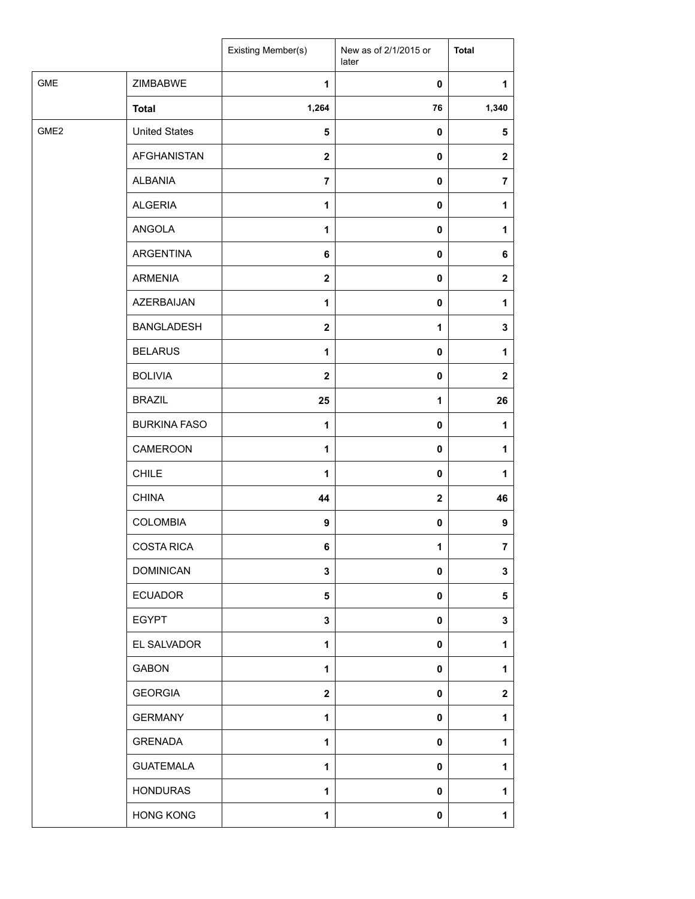|                  |                      | Existing Member(s)      | New as of 2/1/2015 or<br>later | <b>Total</b>   |
|------------------|----------------------|-------------------------|--------------------------------|----------------|
| GME              | ZIMBABWE             | $\mathbf{1}$            | $\pmb{0}$                      | 1              |
|                  | <b>Total</b>         | 1,264                   | 76                             | 1,340          |
| GME <sub>2</sub> | <b>United States</b> | 5                       | $\pmb{0}$                      | 5              |
|                  | <b>AFGHANISTAN</b>   | $\mathbf 2$             | $\mathbf 0$                    | $\mathbf{2}$   |
|                  | <b>ALBANIA</b>       | $\overline{\mathbf{7}}$ | $\pmb{0}$                      | $\overline{7}$ |
|                  | <b>ALGERIA</b>       | 1                       | 0                              | 1              |
|                  | ANGOLA               | $\mathbf{1}$            | $\mathbf 0$                    | 1              |
|                  | ARGENTINA            | 6                       | $\pmb{0}$                      | 6              |
|                  | <b>ARMENIA</b>       | $\overline{\mathbf{2}}$ | $\pmb{0}$                      | $\mathbf{2}$   |
|                  | <b>AZERBAIJAN</b>    | 1                       | $\pmb{0}$                      | 1              |
|                  | <b>BANGLADESH</b>    | $\mathbf{2}$            | 1                              | 3              |
|                  | <b>BELARUS</b>       | $\mathbf{1}$            | $\mathbf 0$                    | 1              |
|                  | <b>BOLIVIA</b>       | $\overline{\mathbf{2}}$ | $\pmb{0}$                      | $\mathbf 2$    |
|                  | <b>BRAZIL</b>        | 25                      | 1                              | 26             |
|                  | <b>BURKINA FASO</b>  | $\mathbf{1}$            | $\pmb{0}$                      | 1              |
|                  | CAMEROON             | $\mathbf{1}$            | $\mathbf 0$                    | 1              |
|                  | CHILE                | 1                       | $\pmb{0}$                      | 1              |
|                  | <b>CHINA</b>         | 44                      | $\mathbf{2}$                   | 46             |
|                  | <b>COLOMBIA</b>      | 9                       | $\pmb{0}$                      | 9              |
|                  | <b>COSTA RICA</b>    | 6                       | 1                              | $\overline{7}$ |
|                  | <b>DOMINICAN</b>     | 3                       | $\mathbf 0$                    | 3              |
|                  | <b>ECUADOR</b>       | 5                       | $\mathbf 0$                    | 5              |
|                  | <b>EGYPT</b>         | 3                       | $\pmb{0}$                      | 3              |
|                  | EL SALVADOR          | $\mathbf{1}$            | 0                              | 1              |
|                  | <b>GABON</b>         | 1                       | 0                              | 1              |
|                  | <b>GEORGIA</b>       | $\overline{\mathbf{2}}$ | $\pmb{0}$                      | $\mathbf 2$    |
|                  | <b>GERMANY</b>       | 1                       | $\mathbf 0$                    | 1              |
|                  | <b>GRENADA</b>       | 1                       | $\mathbf 0$                    | 1              |
|                  | <b>GUATEMALA</b>     | 1                       | $\mathbf 0$                    | 1              |
|                  | <b>HONDURAS</b>      | $\mathbf{1}$            | 0                              | 1              |
|                  | <b>HONG KONG</b>     | 1                       | $\pmb{0}$                      | 1              |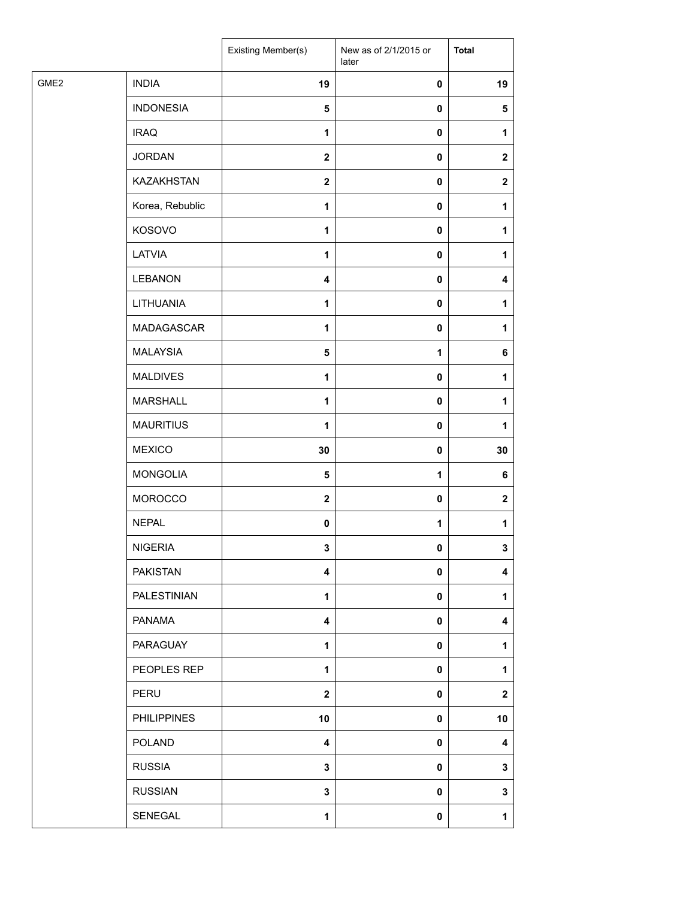|                  |                    | Existing Member(s)      | New as of 2/1/2015 or<br>later | <b>Total</b> |
|------------------|--------------------|-------------------------|--------------------------------|--------------|
| GME <sub>2</sub> | <b>INDIA</b>       | 19                      | $\pmb{0}$                      | 19           |
|                  | <b>INDONESIA</b>   | $\overline{\mathbf{5}}$ | $\pmb{0}$                      | $\sqrt{5}$   |
|                  | <b>IRAQ</b>        | 1                       | $\pmb{0}$                      | 1            |
|                  | <b>JORDAN</b>      | $\mathbf{2}$            | $\pmb{0}$                      | $\mathbf{2}$ |
|                  | KAZAKHSTAN         | $\boldsymbol{2}$        | 0                              | $\mathbf{2}$ |
|                  | Korea, Rebublic    | 1                       | $\pmb{0}$                      | 1            |
|                  | KOSOVO             | $\mathbf{1}$            | $\pmb{0}$                      | 1            |
|                  | LATVIA             | 1                       | $\pmb{0}$                      | 1            |
|                  | <b>LEBANON</b>     | $\overline{\mathbf{4}}$ | $\pmb{0}$                      | 4            |
|                  | LITHUANIA          | $\mathbf{1}$            | $\pmb{0}$                      | 1            |
|                  | MADAGASCAR         | 1                       | $\pmb{0}$                      | 1            |
|                  | <b>MALAYSIA</b>    | $\overline{\mathbf{5}}$ | $\mathbf{1}$                   | 6            |
|                  | <b>MALDIVES</b>    | $\mathbf{1}$            | $\pmb{0}$                      | 1            |
|                  | <b>MARSHALL</b>    | 1                       | $\pmb{0}$                      | 1            |
|                  | <b>MAURITIUS</b>   | 1                       | $\pmb{0}$                      | 1            |
|                  | <b>MEXICO</b>      | 30                      | $\pmb{0}$                      | 30           |
|                  | <b>MONGOLIA</b>    | $\overline{\mathbf{5}}$ | $\mathbf{1}$                   | 6            |
|                  | MOROCCO            | $\mathbf{2}$            | $\pmb{0}$                      | $\mathbf{2}$ |
|                  | <b>NEPAL</b>       | $\pmb{0}$               | 1                              | 1            |
|                  | <b>NIGERIA</b>     | $\overline{\mathbf{3}}$ | $\mathbf 0$                    | 3            |
|                  | <b>PAKISTAN</b>    | $\overline{\mathbf{4}}$ | $\pmb{0}$                      | 4            |
|                  | <b>PALESTINIAN</b> | 1                       | $\pmb{0}$                      | 1            |
|                  | <b>PANAMA</b>      | 4                       | $\pmb{0}$                      | 4            |
|                  | PARAGUAY           | $\mathbf{1}$            | $\pmb{0}$                      | 1            |
|                  | PEOPLES REP        | 1                       | $\pmb{0}$                      | 1            |
|                  | PERU               | $\mathbf{2}$            | 0                              | $\mathbf{2}$ |
|                  | <b>PHILIPPINES</b> | 10                      | $\pmb{0}$                      | 10           |
|                  | <b>POLAND</b>      | 4                       | $\pmb{0}$                      | 4            |
|                  | <b>RUSSIA</b>      | 3                       | $\pmb{0}$                      | 3            |
|                  | <b>RUSSIAN</b>     | 3                       | $\pmb{0}$                      | 3            |
|                  | SENEGAL            | $\mathbf{1}$            | $\pmb{0}$                      | 1            |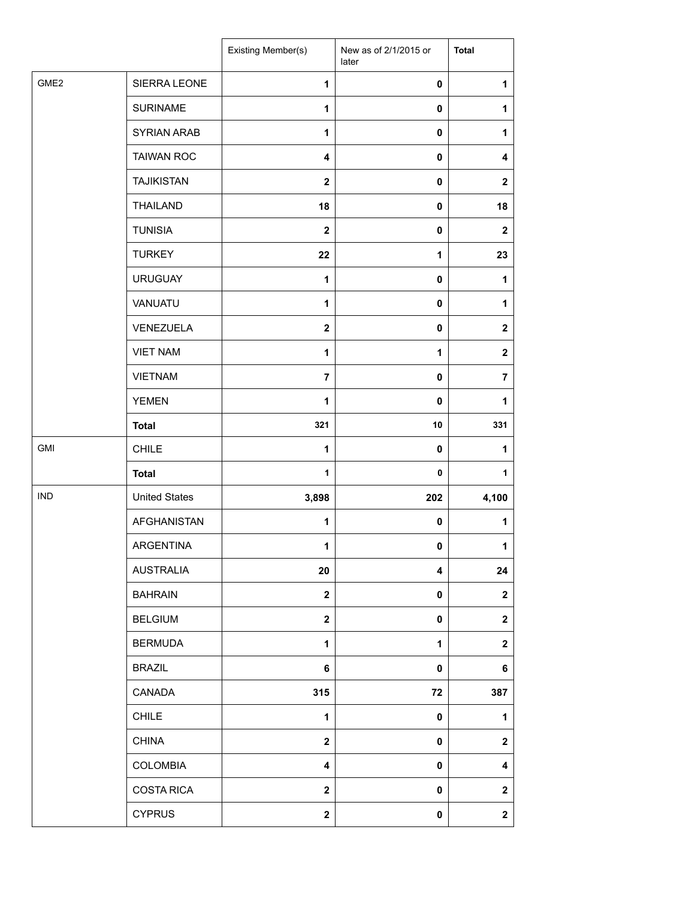|                  |                      | Existing Member(s)      | New as of 2/1/2015 or<br>later | <b>Total</b>            |
|------------------|----------------------|-------------------------|--------------------------------|-------------------------|
| GME <sub>2</sub> | SIERRA LEONE         | $\mathbf{1}$            | $\pmb{0}$                      | 1                       |
|                  | <b>SURINAME</b>      | $\mathbf{1}$            | $\mathbf 0$                    | 1                       |
|                  | SYRIAN ARAB          | $\mathbf{1}$            | $\mathbf 0$                    | 1                       |
|                  | <b>TAIWAN ROC</b>    | $\overline{\mathbf{4}}$ | $\mathbf 0$                    | $\boldsymbol{4}$        |
|                  | <b>TAJIKISTAN</b>    | $\mathbf 2$             | 0                              | $\boldsymbol{2}$        |
|                  | <b>THAILAND</b>      | 18                      | 0                              | 18                      |
|                  | <b>TUNISIA</b>       | $\mathbf{2}$            | $\pmb{0}$                      | $\mathbf{2}$            |
|                  | <b>TURKEY</b>        | 22                      | 1                              | 23                      |
|                  | <b>URUGUAY</b>       | 1                       | $\mathbf 0$                    | 1                       |
|                  | VANUATU              | $\mathbf{1}$            | 0                              | 1                       |
|                  | VENEZUELA            | $\mathbf 2$             | $\mathbf 0$                    | $\boldsymbol{2}$        |
|                  | <b>VIET NAM</b>      | $\mathbf{1}$            | $\mathbf{1}$                   | $\boldsymbol{2}$        |
|                  | <b>VIETNAM</b>       | 7                       | $\mathbf 0$                    | $\overline{7}$          |
|                  | <b>YEMEN</b>         | 1                       | $\mathbf 0$                    | 1                       |
|                  | <b>Total</b>         | 321                     | 10                             | 331                     |
| GMI              | <b>CHILE</b>         | $\mathbf{1}$            | 0                              | 1                       |
|                  | <b>Total</b>         | $\mathbf{1}$            | 0                              | 1                       |
| <b>IND</b>       | <b>United States</b> | 3,898                   | 202                            | 4,100                   |
|                  | AFGHANISTAN          | 1                       | 0                              | 1                       |
|                  | ARGENTINA            | 1                       | 0                              | 1                       |
|                  | <b>AUSTRALIA</b>     | 20                      | 4                              | 24                      |
|                  | <b>BAHRAIN</b>       | $\mathbf{2}$            | $\mathbf 0$                    | $\overline{\mathbf{2}}$ |
|                  | <b>BELGIUM</b>       | $\mathbf{2}$            | 0                              | $\boldsymbol{2}$        |
|                  | <b>BERMUDA</b>       | $\mathbf{1}$            | 1                              | $\boldsymbol{2}$        |
|                  | <b>BRAZIL</b>        | 6                       | 0                              | 6                       |
|                  | CANADA               | 315                     | 72                             | 387                     |
|                  | <b>CHILE</b>         | 1                       | 0                              | 1                       |
|                  | <b>CHINA</b>         | $\mathbf{2}$            | 0                              | $\overline{\mathbf{2}}$ |
|                  | COLOMBIA             | 4                       | $\mathbf 0$                    | 4                       |
|                  | <b>COSTA RICA</b>    | $\mathbf 2$             | $\mathbf 0$                    | $\boldsymbol{2}$        |
|                  | <b>CYPRUS</b>        | $\mathbf{2}$            | 0                              | $\mathbf{2}$            |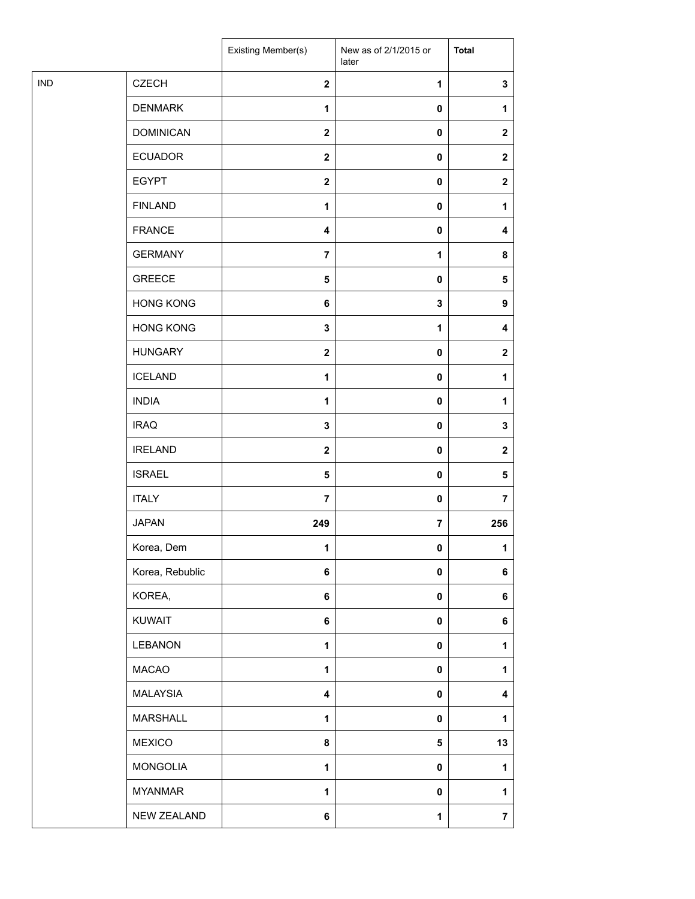| <b>IND</b><br><b>CZECH</b><br>$\mathbf{2}$<br>$\mathbf 3$<br>1<br><b>DENMARK</b><br>$\pmb{0}$<br>1<br>$\mathbf{1}$<br><b>DOMINICAN</b><br>$\boldsymbol{2}$<br>0<br>$\mathbf 2$<br><b>ECUADOR</b><br>$\mathbf{2}$<br>0<br>$\mathbf{2}$<br><b>EGYPT</b><br>$\boldsymbol{2}$<br>0<br>$\mathbf 2$<br><b>FINLAND</b><br>1<br>0<br>$\mathbf{1}$<br><b>FRANCE</b><br>$\pmb{0}$<br>4<br>4<br><b>GERMANY</b><br>$\overline{7}$<br>1<br>8<br><b>GREECE</b><br>5<br>0<br>5<br><b>HONG KONG</b><br>6<br>3<br>9<br><b>HONG KONG</b><br>3<br>1<br>4<br><b>HUNGARY</b><br>$\mathbf{2}$<br>0<br>$\mathbf{2}$<br><b>ICELAND</b><br>$\pmb{0}$<br>1<br>1<br><b>INDIA</b><br>1<br>0<br>1<br><b>IRAQ</b><br>3<br>0<br>3<br><b>IRELAND</b><br>$\mathbf{2}$<br>$\pmb{0}$<br>$\mathbf{2}$<br><b>ISRAEL</b><br>5<br>0<br>5<br><b>ITALY</b><br>$\overline{7}$<br>0<br>$\overline{7}$<br><b>JAPAN</b><br>249<br>7<br>256<br>Korea, Dem<br>1<br>0<br>1<br>Korea, Rebublic<br>6<br>0<br>6<br>KOREA,<br>6<br>0<br>6<br>KUWAIT<br>6<br>0<br>6<br>LEBANON<br>$\mathbf{1}$<br>$\pmb{0}$<br>1<br><b>MACAO</b><br>$\mathbf{1}$<br>$\pmb{0}$<br>1<br><b>MALAYSIA</b><br>4<br>$\pmb{0}$<br>4<br><b>MARSHALL</b><br>1<br>0<br>1<br><b>MEXICO</b><br>8<br>5<br>13<br><b>MONGOLIA</b><br>1<br>$\pmb{0}$<br>1<br><b>MYANMAR</b><br>1<br>$\pmb{0}$<br>1<br>NEW ZEALAND<br>6<br>$\overline{\mathbf{7}}$<br>$\mathbf 1$ |  | Existing Member(s) | New as of 2/1/2015 or<br>later | <b>Total</b> |
|-----------------------------------------------------------------------------------------------------------------------------------------------------------------------------------------------------------------------------------------------------------------------------------------------------------------------------------------------------------------------------------------------------------------------------------------------------------------------------------------------------------------------------------------------------------------------------------------------------------------------------------------------------------------------------------------------------------------------------------------------------------------------------------------------------------------------------------------------------------------------------------------------------------------------------------------------------------------------------------------------------------------------------------------------------------------------------------------------------------------------------------------------------------------------------------------------------------------------------------------------------------------------------------------------------------------------------------------------------------------------------|--|--------------------|--------------------------------|--------------|
|                                                                                                                                                                                                                                                                                                                                                                                                                                                                                                                                                                                                                                                                                                                                                                                                                                                                                                                                                                                                                                                                                                                                                                                                                                                                                                                                                                             |  |                    |                                |              |
|                                                                                                                                                                                                                                                                                                                                                                                                                                                                                                                                                                                                                                                                                                                                                                                                                                                                                                                                                                                                                                                                                                                                                                                                                                                                                                                                                                             |  |                    |                                |              |
|                                                                                                                                                                                                                                                                                                                                                                                                                                                                                                                                                                                                                                                                                                                                                                                                                                                                                                                                                                                                                                                                                                                                                                                                                                                                                                                                                                             |  |                    |                                |              |
|                                                                                                                                                                                                                                                                                                                                                                                                                                                                                                                                                                                                                                                                                                                                                                                                                                                                                                                                                                                                                                                                                                                                                                                                                                                                                                                                                                             |  |                    |                                |              |
|                                                                                                                                                                                                                                                                                                                                                                                                                                                                                                                                                                                                                                                                                                                                                                                                                                                                                                                                                                                                                                                                                                                                                                                                                                                                                                                                                                             |  |                    |                                |              |
|                                                                                                                                                                                                                                                                                                                                                                                                                                                                                                                                                                                                                                                                                                                                                                                                                                                                                                                                                                                                                                                                                                                                                                                                                                                                                                                                                                             |  |                    |                                |              |
|                                                                                                                                                                                                                                                                                                                                                                                                                                                                                                                                                                                                                                                                                                                                                                                                                                                                                                                                                                                                                                                                                                                                                                                                                                                                                                                                                                             |  |                    |                                |              |
|                                                                                                                                                                                                                                                                                                                                                                                                                                                                                                                                                                                                                                                                                                                                                                                                                                                                                                                                                                                                                                                                                                                                                                                                                                                                                                                                                                             |  |                    |                                |              |
|                                                                                                                                                                                                                                                                                                                                                                                                                                                                                                                                                                                                                                                                                                                                                                                                                                                                                                                                                                                                                                                                                                                                                                                                                                                                                                                                                                             |  |                    |                                |              |
|                                                                                                                                                                                                                                                                                                                                                                                                                                                                                                                                                                                                                                                                                                                                                                                                                                                                                                                                                                                                                                                                                                                                                                                                                                                                                                                                                                             |  |                    |                                |              |
|                                                                                                                                                                                                                                                                                                                                                                                                                                                                                                                                                                                                                                                                                                                                                                                                                                                                                                                                                                                                                                                                                                                                                                                                                                                                                                                                                                             |  |                    |                                |              |
|                                                                                                                                                                                                                                                                                                                                                                                                                                                                                                                                                                                                                                                                                                                                                                                                                                                                                                                                                                                                                                                                                                                                                                                                                                                                                                                                                                             |  |                    |                                |              |
|                                                                                                                                                                                                                                                                                                                                                                                                                                                                                                                                                                                                                                                                                                                                                                                                                                                                                                                                                                                                                                                                                                                                                                                                                                                                                                                                                                             |  |                    |                                |              |
|                                                                                                                                                                                                                                                                                                                                                                                                                                                                                                                                                                                                                                                                                                                                                                                                                                                                                                                                                                                                                                                                                                                                                                                                                                                                                                                                                                             |  |                    |                                |              |
|                                                                                                                                                                                                                                                                                                                                                                                                                                                                                                                                                                                                                                                                                                                                                                                                                                                                                                                                                                                                                                                                                                                                                                                                                                                                                                                                                                             |  |                    |                                |              |
|                                                                                                                                                                                                                                                                                                                                                                                                                                                                                                                                                                                                                                                                                                                                                                                                                                                                                                                                                                                                                                                                                                                                                                                                                                                                                                                                                                             |  |                    |                                |              |
|                                                                                                                                                                                                                                                                                                                                                                                                                                                                                                                                                                                                                                                                                                                                                                                                                                                                                                                                                                                                                                                                                                                                                                                                                                                                                                                                                                             |  |                    |                                |              |
|                                                                                                                                                                                                                                                                                                                                                                                                                                                                                                                                                                                                                                                                                                                                                                                                                                                                                                                                                                                                                                                                                                                                                                                                                                                                                                                                                                             |  |                    |                                |              |
|                                                                                                                                                                                                                                                                                                                                                                                                                                                                                                                                                                                                                                                                                                                                                                                                                                                                                                                                                                                                                                                                                                                                                                                                                                                                                                                                                                             |  |                    |                                |              |
|                                                                                                                                                                                                                                                                                                                                                                                                                                                                                                                                                                                                                                                                                                                                                                                                                                                                                                                                                                                                                                                                                                                                                                                                                                                                                                                                                                             |  |                    |                                |              |
|                                                                                                                                                                                                                                                                                                                                                                                                                                                                                                                                                                                                                                                                                                                                                                                                                                                                                                                                                                                                                                                                                                                                                                                                                                                                                                                                                                             |  |                    |                                |              |
|                                                                                                                                                                                                                                                                                                                                                                                                                                                                                                                                                                                                                                                                                                                                                                                                                                                                                                                                                                                                                                                                                                                                                                                                                                                                                                                                                                             |  |                    |                                |              |
|                                                                                                                                                                                                                                                                                                                                                                                                                                                                                                                                                                                                                                                                                                                                                                                                                                                                                                                                                                                                                                                                                                                                                                                                                                                                                                                                                                             |  |                    |                                |              |
|                                                                                                                                                                                                                                                                                                                                                                                                                                                                                                                                                                                                                                                                                                                                                                                                                                                                                                                                                                                                                                                                                                                                                                                                                                                                                                                                                                             |  |                    |                                |              |
|                                                                                                                                                                                                                                                                                                                                                                                                                                                                                                                                                                                                                                                                                                                                                                                                                                                                                                                                                                                                                                                                                                                                                                                                                                                                                                                                                                             |  |                    |                                |              |
|                                                                                                                                                                                                                                                                                                                                                                                                                                                                                                                                                                                                                                                                                                                                                                                                                                                                                                                                                                                                                                                                                                                                                                                                                                                                                                                                                                             |  |                    |                                |              |
|                                                                                                                                                                                                                                                                                                                                                                                                                                                                                                                                                                                                                                                                                                                                                                                                                                                                                                                                                                                                                                                                                                                                                                                                                                                                                                                                                                             |  |                    |                                |              |
|                                                                                                                                                                                                                                                                                                                                                                                                                                                                                                                                                                                                                                                                                                                                                                                                                                                                                                                                                                                                                                                                                                                                                                                                                                                                                                                                                                             |  |                    |                                |              |
|                                                                                                                                                                                                                                                                                                                                                                                                                                                                                                                                                                                                                                                                                                                                                                                                                                                                                                                                                                                                                                                                                                                                                                                                                                                                                                                                                                             |  |                    |                                |              |
|                                                                                                                                                                                                                                                                                                                                                                                                                                                                                                                                                                                                                                                                                                                                                                                                                                                                                                                                                                                                                                                                                                                                                                                                                                                                                                                                                                             |  |                    |                                |              |
|                                                                                                                                                                                                                                                                                                                                                                                                                                                                                                                                                                                                                                                                                                                                                                                                                                                                                                                                                                                                                                                                                                                                                                                                                                                                                                                                                                             |  |                    |                                |              |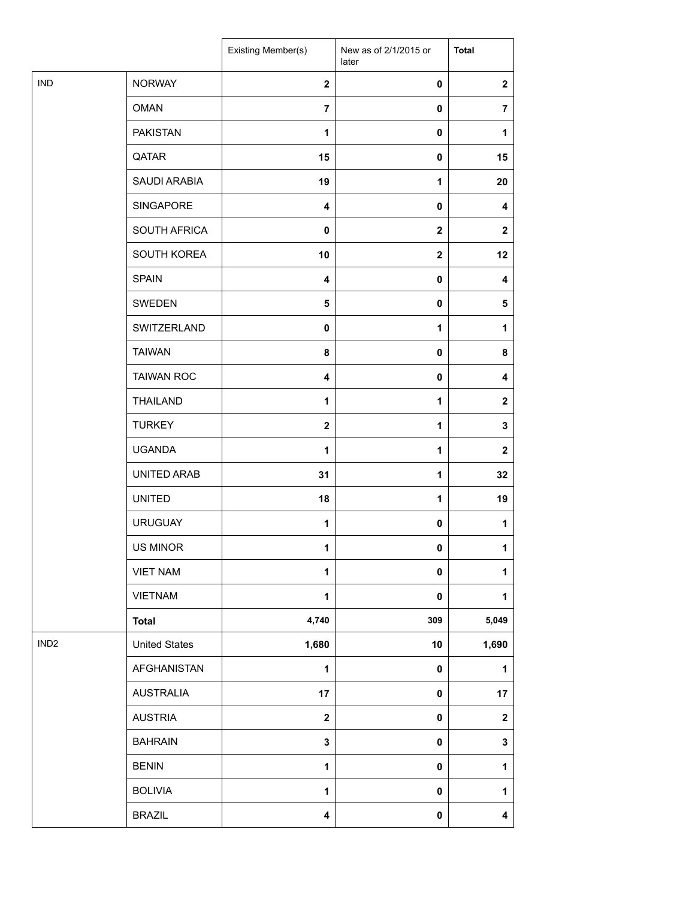|                  |                      | Existing Member(s)      | New as of 2/1/2015 or<br>later | <b>Total</b>            |
|------------------|----------------------|-------------------------|--------------------------------|-------------------------|
| <b>IND</b>       | <b>NORWAY</b>        | $\mathbf{2}$            | $\pmb{0}$                      | $\boldsymbol{2}$        |
|                  | <b>OMAN</b>          | $\overline{7}$          | $\mathbf 0$                    | $\overline{7}$          |
|                  | <b>PAKISTAN</b>      | 1                       | $\mathbf 0$                    | 1                       |
|                  | QATAR                | 15                      | $\mathbf 0$                    | 15                      |
|                  | SAUDI ARABIA         | 19                      | $\mathbf{1}$                   | 20                      |
|                  | SINGAPORE            | $\overline{\mathbf{4}}$ | 0                              | 4                       |
|                  | SOUTH AFRICA         | 0                       | $\mathbf 2$                    | $\mathbf{2}$            |
|                  | SOUTH KOREA          | 10                      | $\mathbf 2$                    | 12                      |
|                  | <b>SPAIN</b>         | $\overline{\mathbf{4}}$ | $\mathbf 0$                    | $\boldsymbol{4}$        |
|                  | <b>SWEDEN</b>        | $\sqrt{5}$              | $\mathbf 0$                    | ${\bf 5}$               |
|                  | SWITZERLAND          | $\mathbf 0$             | 1                              | 1                       |
|                  | <b>TAIWAN</b>        | 8                       | $\mathbf 0$                    | 8                       |
|                  | <b>TAIWAN ROC</b>    | $\overline{\mathbf{4}}$ | $\mathbf 0$                    | 4                       |
|                  | <b>THAILAND</b>      | 1                       | 1                              | $\mathbf{2}$            |
|                  | <b>TURKEY</b>        | $\mathbf{2}$            | 1                              | $\mathbf 3$             |
|                  | <b>UGANDA</b>        | 1                       | $\mathbf{1}$                   | $\mathbf{2}$            |
|                  | UNITED ARAB          | 31                      | $\mathbf{1}$                   | 32                      |
|                  | <b>UNITED</b>        | 18                      | $\mathbf{1}$                   | 19                      |
|                  | <b>URUGUAY</b>       | 1                       | 0                              | 1                       |
|                  | US MINOR             | 1                       | $\pmb{0}$                      | 1                       |
|                  | <b>VIET NAM</b>      | 1                       | 0                              | 1                       |
|                  | <b>VIETNAM</b>       | $\mathbf{1}$            | $\pmb{0}$                      | 1                       |
|                  | <b>Total</b>         | 4,740                   | 309                            | 5,049                   |
| IND <sub>2</sub> | <b>United States</b> | 1,680                   | 10                             | 1,690                   |
|                  | AFGHANISTAN          | 1                       | $\pmb{0}$                      | 1                       |
|                  | <b>AUSTRALIA</b>     | 17                      | $\mathbf 0$                    | 17                      |
|                  | <b>AUSTRIA</b>       | $\overline{\mathbf{2}}$ | $\pmb{0}$                      | $\boldsymbol{2}$        |
|                  | <b>BAHRAIN</b>       | 3                       | 0                              | $\mathbf 3$             |
|                  | <b>BENIN</b>         | $\mathbf{1}$            | $\pmb{0}$                      | $\mathbf{1}$            |
|                  | <b>BOLIVIA</b>       | 1                       | $\pmb{0}$                      | 1                       |
|                  | <b>BRAZIL</b>        | 4                       | $\pmb{0}$                      | $\overline{\mathbf{4}}$ |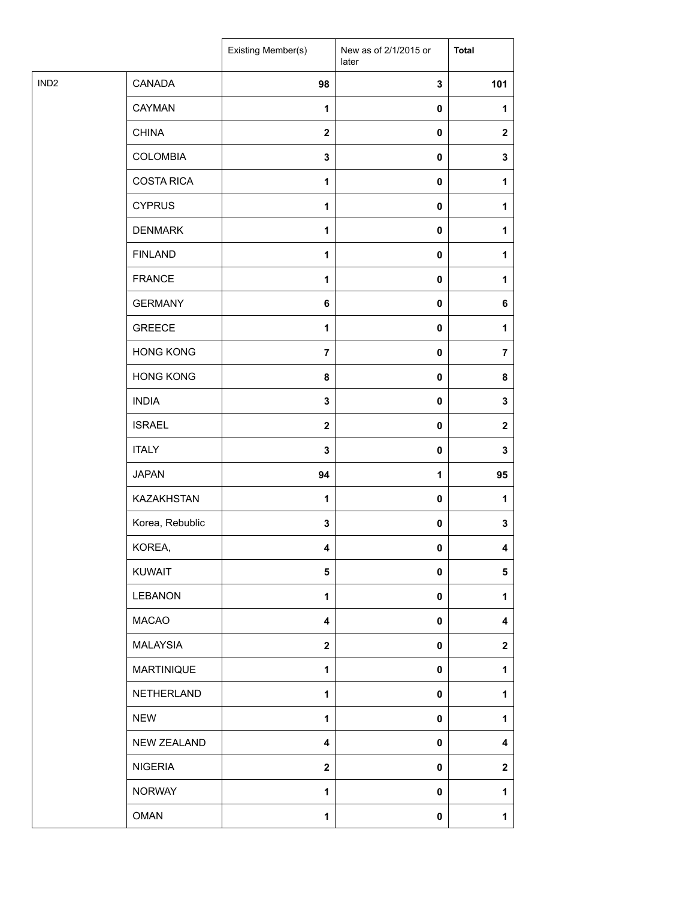|                  |                   | Existing Member(s) | New as of 2/1/2015 or<br>later | <b>Total</b>   |
|------------------|-------------------|--------------------|--------------------------------|----------------|
| IND <sub>2</sub> | CANADA            | 98                 | $\mathbf 3$                    | 101            |
|                  | <b>CAYMAN</b>     | 1                  | $\pmb{0}$                      | 1              |
|                  | <b>CHINA</b>      | $\mathbf{2}$       | $\pmb{0}$                      | $\mathbf{2}$   |
|                  | <b>COLOMBIA</b>   | $\mathbf 3$        | $\pmb{0}$                      | 3              |
|                  | <b>COSTA RICA</b> | $\mathbf{1}$       | $\pmb{0}$                      | 1              |
|                  | <b>CYPRUS</b>     | $\mathbf{1}$       | $\pmb{0}$                      | 1              |
|                  | <b>DENMARK</b>    | $\mathbf{1}$       | $\pmb{0}$                      | 1              |
|                  | <b>FINLAND</b>    | 1                  | $\pmb{0}$                      | 1              |
|                  | <b>FRANCE</b>     | $\mathbf{1}$       | $\pmb{0}$                      | 1              |
|                  | <b>GERMANY</b>    | $\bf 6$            | 0                              | 6              |
|                  | <b>GREECE</b>     | 1                  | $\pmb{0}$                      | 1              |
|                  | <b>HONG KONG</b>  | $\overline{7}$     | $\pmb{0}$                      | $\overline{7}$ |
|                  | <b>HONG KONG</b>  | 8                  | $\pmb{0}$                      | 8              |
|                  | <b>INDIA</b>      | $\mathbf 3$        | $\pmb{0}$                      | 3              |
|                  | <b>ISRAEL</b>     | $\mathbf{2}$       | $\pmb{0}$                      | $\mathbf{2}$   |
|                  | <b>ITALY</b>      | 3                  | $\pmb{0}$                      | 3              |
|                  | <b>JAPAN</b>      | 94                 | 1                              | 95             |
|                  | <b>KAZAKHSTAN</b> | $\mathbf{1}$       | $\pmb{0}$                      | 1              |
|                  | Korea, Rebublic   | 3                  | $\pmb{0}$                      | 3              |
|                  | KOREA,            | 4                  | $\pmb{0}$                      | 4              |
|                  | KUWAIT            | 5                  | $\pmb{0}$                      | 5              |
|                  | <b>LEBANON</b>    | 1                  | $\pmb{0}$                      | 1              |
|                  | <b>MACAO</b>      | 4                  | $\pmb{0}$                      | 4              |
|                  | <b>MALAYSIA</b>   | $\mathbf{2}$       | $\pmb{0}$                      | $\mathbf{2}$   |
|                  | <b>MARTINIQUE</b> | 1                  | $\pmb{0}$                      | 1              |
|                  | NETHERLAND        | 1                  | $\pmb{0}$                      | 1              |
|                  | <b>NEW</b>        | $\mathbf{1}$       | $\pmb{0}$                      | 1              |
|                  | NEW ZEALAND       | 4                  | $\pmb{0}$                      | 4              |
|                  | <b>NIGERIA</b>    | $\mathbf 2$        | $\pmb{0}$                      | $\mathbf{2}$   |
|                  | <b>NORWAY</b>     | $\mathbf{1}$       | 0                              | 1              |
|                  | <b>OMAN</b>       | $\mathbf{1}$       | $\pmb{0}$                      | 1              |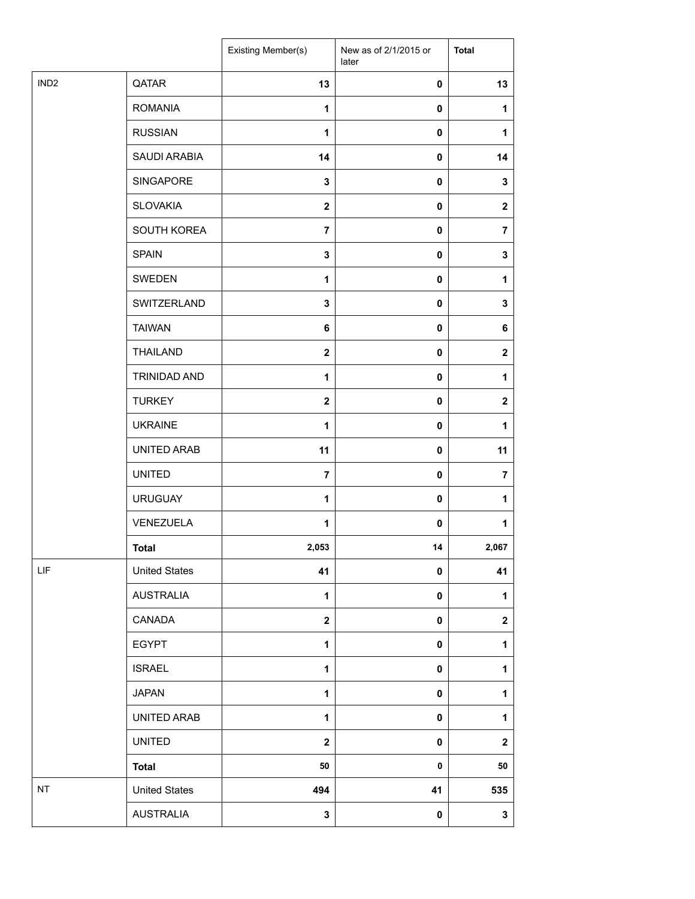|                  |                      | Existing Member(s) | New as of 2/1/2015 or<br>later | <b>Total</b>     |
|------------------|----------------------|--------------------|--------------------------------|------------------|
| IND <sub>2</sub> | QATAR                | 13                 | 0                              | 13               |
|                  | <b>ROMANIA</b>       | $\mathbf{1}$       | $\mathbf 0$                    | $\mathbf{1}$     |
|                  | <b>RUSSIAN</b>       | $\mathbf{1}$       | 0                              | 1                |
|                  | SAUDI ARABIA         | 14                 | 0                              | 14               |
|                  | SINGAPORE            | 3                  | 0                              | $\mathbf 3$      |
|                  | <b>SLOVAKIA</b>      | $\mathbf 2$        | 0                              | $\mathbf{2}$     |
|                  | SOUTH KOREA          | $\overline{7}$     | 0                              | $\overline{7}$   |
|                  | <b>SPAIN</b>         | $\mathbf 3$        | 0                              | 3                |
|                  | SWEDEN               | 1                  | 0                              | 1                |
|                  | SWITZERLAND          | 3                  | 0                              | 3                |
|                  | <b>TAIWAN</b>        | 6                  | 0                              | 6                |
|                  | <b>THAILAND</b>      | $\mathbf{2}$       | 0                              | $\mathbf{2}$     |
|                  | <b>TRINIDAD AND</b>  | $\mathbf{1}$       | $\mathbf 0$                    | 1                |
|                  | <b>TURKEY</b>        | $\boldsymbol{2}$   | $\mathbf 0$                    | $\boldsymbol{2}$ |
|                  | <b>UKRAINE</b>       | $\mathbf{1}$       | 0                              | 1                |
|                  | UNITED ARAB          | 11                 | 0                              | 11               |
|                  | <b>UNITED</b>        | $\overline{7}$     | 0                              | $\overline{7}$   |
|                  | <b>URUGUAY</b>       | 1                  | 0                              | 1                |
|                  | VENEZUELA            | $\mathbf{1}$       | 0                              | 1                |
|                  | Total                | 2,053              | 14                             | 2,067            |
| LIF              | <b>United States</b> | 41                 | $\pmb{0}$                      | 41               |
|                  | <b>AUSTRALIA</b>     | $\mathbf{1}$       | 0                              | $\mathbf{1}$     |
|                  | CANADA               | $\mathbf 2$        | $\pmb{0}$                      | $\mathbf 2$      |
|                  | <b>EGYPT</b>         | $\mathbf{1}$       | $\pmb{0}$                      | $\mathbf{1}$     |
|                  | <b>ISRAEL</b>        | 1                  | $\pmb{0}$                      | 1                |
|                  | <b>JAPAN</b>         | $\mathbf{1}$       | $\pmb{0}$                      | $\mathbf{1}$     |
|                  | UNITED ARAB          | 1                  | $\pmb{0}$                      | $\mathbf{1}$     |
|                  | <b>UNITED</b>        | $\mathbf 2$        | 0                              | $\mathbf{2}$     |
|                  | <b>Total</b>         | 50                 | 0                              | 50               |
| NT               | <b>United States</b> | 494                | 41                             | 535              |
|                  | <b>AUSTRALIA</b>     | 3                  | 0                              | 3                |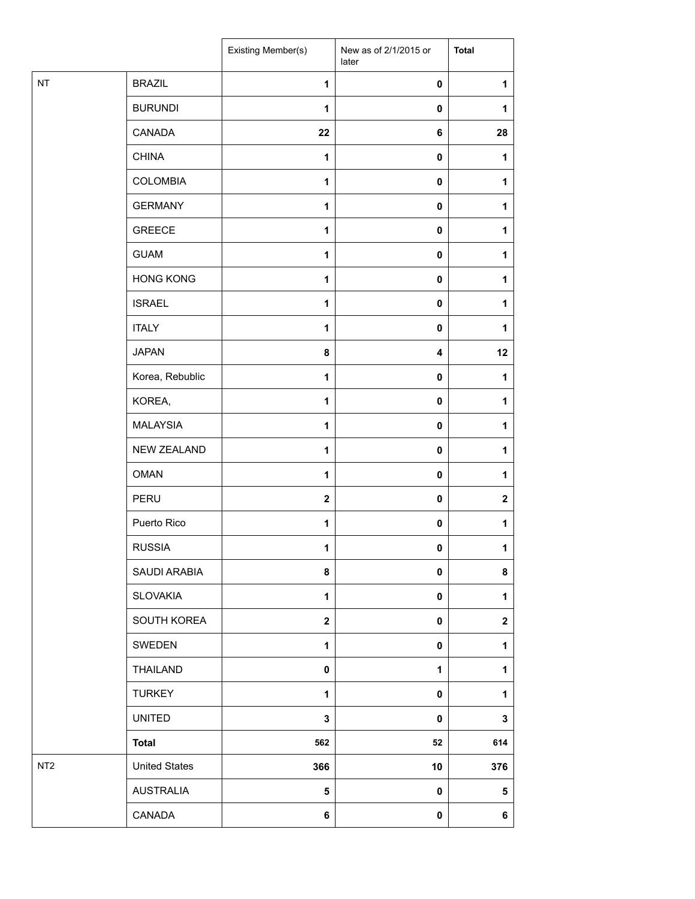|                 |                      | Existing Member(s)      | New as of 2/1/2015 or<br>later | <b>Total</b> |
|-----------------|----------------------|-------------------------|--------------------------------|--------------|
| $\sf{NT}$       | <b>BRAZIL</b>        | 1                       | $\mathbf 0$                    | $\mathbf{1}$ |
|                 | <b>BURUNDI</b>       | 1                       | 0                              | 1            |
|                 | CANADA               | 22                      | 6                              | 28           |
|                 | <b>CHINA</b>         | 1                       | $\mathbf 0$                    | 1            |
|                 | <b>COLOMBIA</b>      | 1                       | 0                              | 1            |
|                 | <b>GERMANY</b>       | 1                       | $\mathbf 0$                    | 1            |
|                 | <b>GREECE</b>        | 1                       | $\pmb{0}$                      | 1            |
|                 | <b>GUAM</b>          | 1                       | 0                              | 1            |
|                 | <b>HONG KONG</b>     | 1                       | $\mathbf 0$                    | 1            |
|                 | <b>ISRAEL</b>        | 1                       | 0                              | 1            |
|                 | <b>ITALY</b>         | 1                       | $\mathbf 0$                    | 1            |
|                 | <b>JAPAN</b>         | 8                       | $\overline{\mathbf{4}}$        | 12           |
|                 | Korea, Rebublic      | 1                       | 0                              | 1            |
|                 | KOREA,               | 1                       | 0                              | 1            |
|                 | <b>MALAYSIA</b>      | 1                       | 0                              | 1            |
|                 | <b>NEW ZEALAND</b>   | 1                       | 0                              | 1            |
|                 | <b>OMAN</b>          | 1                       | $\mathbf 0$                    | 1            |
|                 | PERU                 | $\overline{\mathbf{2}}$ | 0                              | $\mathbf 2$  |
|                 | Puerto Rico          | 1                       | 0                              | 1            |
|                 | <b>RUSSIA</b>        | 1                       | 0                              | $\mathbf{1}$ |
|                 | SAUDI ARABIA         | 8                       | 0                              | 8            |
|                 | <b>SLOVAKIA</b>      | $\mathbf{1}$            | 0                              | $\mathbf{1}$ |
|                 | SOUTH KOREA          | $\overline{\mathbf{2}}$ | 0                              | $\mathbf 2$  |
|                 | SWEDEN               | 1                       | $\mathbf 0$                    | 1            |
|                 | THAILAND             | $\bf{0}$                | 1                              | $\mathbf{1}$ |
|                 | <b>TURKEY</b>        | 1                       | 0                              | 1            |
|                 | <b>UNITED</b>        | $\mathbf 3$             | 0                              | 3            |
|                 | <b>Total</b>         | 562                     | 52                             | 614          |
| NT <sub>2</sub> | <b>United States</b> | 366                     | 10                             | 376          |
|                 | <b>AUSTRALIA</b>     | $5\phantom{.0}$         | $\mathbf 0$                    | 5            |
|                 | CANADA               | 6                       | $\mathbf 0$                    | 6            |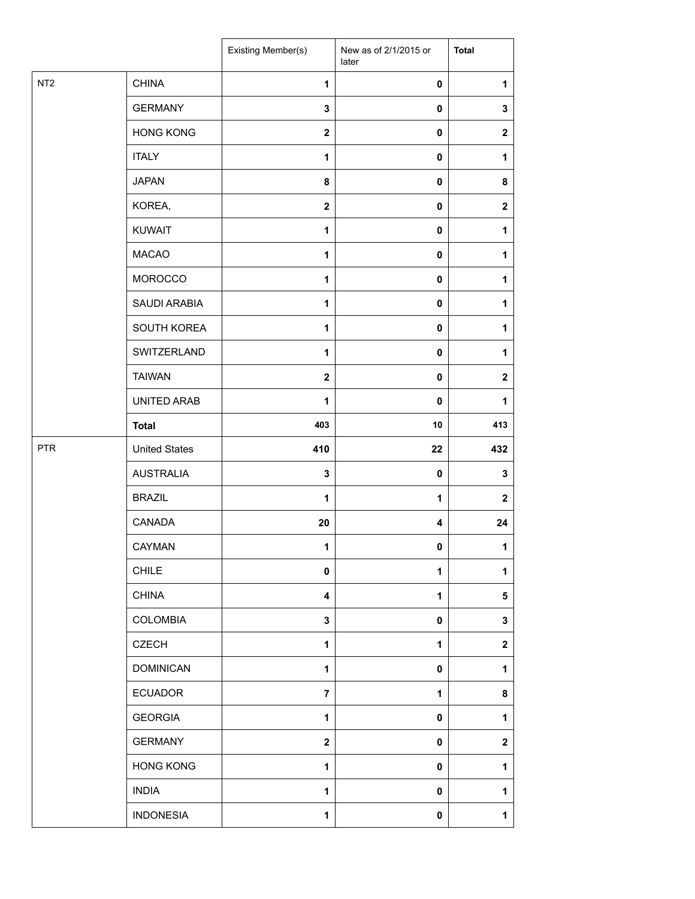|                 |                      | Existing Member(s)      | New as of 2/1/2015 or<br>later | <b>Total</b>            |
|-----------------|----------------------|-------------------------|--------------------------------|-------------------------|
| NT <sub>2</sub> | <b>CHINA</b>         | 1                       | $\pmb{0}$                      | 1                       |
|                 | <b>GERMANY</b>       | 3                       | $\mathbf 0$                    | $\mathbf 3$             |
|                 | <b>HONG KONG</b>     | $\mathbf{2}$            | $\mathbf 0$                    | $\boldsymbol{2}$        |
|                 | <b>ITALY</b>         | 1                       | $\mathbf 0$                    | 1                       |
|                 | <b>JAPAN</b>         | 8                       | $\pmb{0}$                      | 8                       |
|                 | KOREA,               | $\overline{\mathbf{2}}$ | $\pmb{0}$                      | $\boldsymbol{2}$        |
|                 | <b>KUWAIT</b>        | 1                       | $\pmb{0}$                      | 1                       |
|                 | <b>MACAO</b>         | 1                       | $\pmb{0}$                      | 1                       |
|                 | MOROCCO              | 1                       | $\pmb{0}$                      | 1                       |
|                 | SAUDI ARABIA         | 1                       | $\mathbf 0$                    | 1                       |
|                 | SOUTH KOREA          | 1                       | $\mathbf 0$                    | 1                       |
|                 | SWITZERLAND          | 1                       | $\pmb{0}$                      | 1                       |
|                 | <b>TAIWAN</b>        | $\overline{\mathbf{2}}$ | $\mathbf 0$                    | $\overline{\mathbf{2}}$ |
|                 | UNITED ARAB          | 1                       | $\pmb{0}$                      | $\mathbf{1}$            |
|                 | <b>Total</b>         | 403                     | 10                             | 413                     |
| <b>PTR</b>      | <b>United States</b> | 410                     | 22                             | 432                     |
|                 | <b>AUSTRALIA</b>     | $\mathbf{3}$            | $\pmb{0}$                      | $\mathbf 3$             |
|                 | <b>BRAZIL</b>        | 1                       | 1                              | $\mathbf{2}$            |
|                 | CANADA               | 20                      | 4                              | 24                      |
|                 | CAYMAN               | 1                       | 0                              | 1                       |
|                 | <b>CHILE</b>         | $\pmb{0}$               | $\mathbf 1$                    | 1                       |
|                 | <b>CHINA</b>         | 4                       | $\mathbf{1}$                   | $\sqrt{5}$              |
|                 | <b>COLOMBIA</b>      | 3                       | $\mathbf 0$                    | $\mathbf 3$             |
|                 | <b>CZECH</b>         | 1                       | $\mathbf{1}$                   | $\boldsymbol{2}$        |
|                 | <b>DOMINICAN</b>     | 1                       | 0                              | 1                       |
|                 | <b>ECUADOR</b>       | $\overline{7}$          | 1                              | 8                       |
|                 | <b>GEORGIA</b>       | $\mathbf{1}$            | $\pmb{0}$                      | 1                       |
|                 | <b>GERMANY</b>       | $\mathbf{2}$            | $\pmb{0}$                      | $\overline{\mathbf{2}}$ |
|                 | <b>HONG KONG</b>     | 1                       | $\mathbf 0$                    | 1                       |
|                 | <b>INDIA</b>         | 1                       | $\pmb{0}$                      | 1                       |
|                 | <b>INDONESIA</b>     | 1                       | 0                              | 1                       |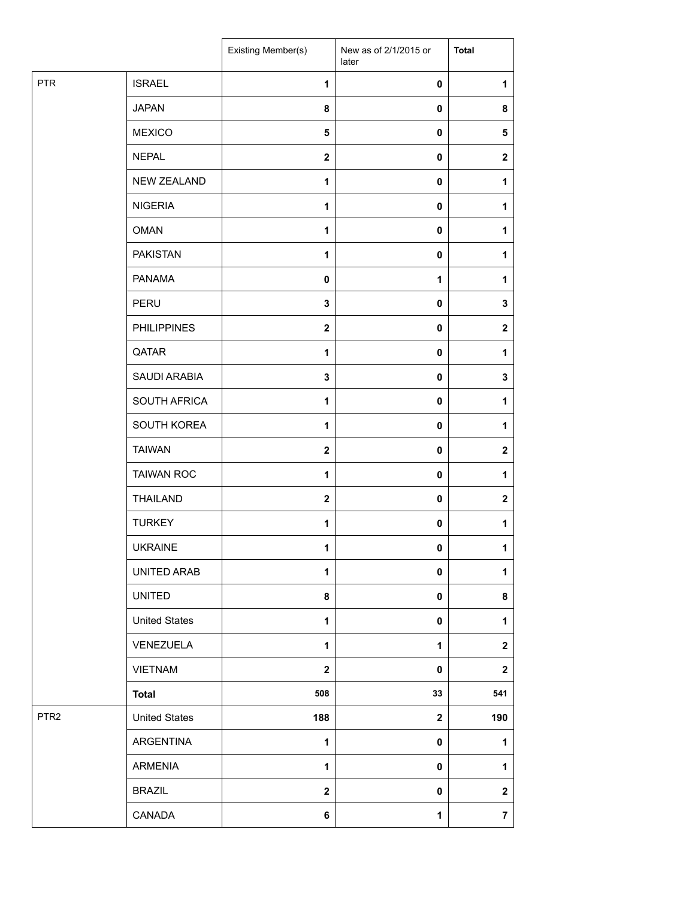|                  |                      | Existing Member(s)      | New as of 2/1/2015 or<br>later | <b>Total</b>     |
|------------------|----------------------|-------------------------|--------------------------------|------------------|
| <b>PTR</b>       | <b>ISRAEL</b>        | $\mathbf{1}$            | $\pmb{0}$                      | 1                |
|                  | <b>JAPAN</b>         | 8                       | 0                              | 8                |
|                  | <b>MEXICO</b>        | 5                       | $\pmb{0}$                      | ${\bf 5}$        |
|                  | <b>NEPAL</b>         | $\mathbf 2$             | $\mathbf 0$                    | $\mathbf{2}$     |
|                  | NEW ZEALAND          | $\mathbf{1}$            | $\mathbf 0$                    | 1                |
|                  | <b>NIGERIA</b>       | $\mathbf{1}$            | $\pmb{0}$                      | 1                |
|                  | <b>OMAN</b>          | $\mathbf{1}$            | $\pmb{0}$                      | 1                |
|                  | <b>PAKISTAN</b>      | $\mathbf{1}$            | $\pmb{0}$                      | 1                |
|                  | <b>PANAMA</b>        | 0                       | 1                              | 1                |
|                  | PERU                 | 3                       | $\pmb{0}$                      | $\mathbf 3$      |
|                  | <b>PHILIPPINES</b>   | $\mathbf{2}$            | $\mathbf 0$                    | $\mathbf{2}$     |
|                  | QATAR                | $\mathbf{1}$            | $\mathbf 0$                    | 1                |
|                  | SAUDI ARABIA         | 3                       | $\mathbf 0$                    | $\mathbf 3$      |
|                  | SOUTH AFRICA         | 1                       | 0                              | 1                |
|                  | SOUTH KOREA          | $\mathbf{1}$            | $\pmb{0}$                      | 1                |
|                  | <b>TAIWAN</b>        | $\overline{\mathbf{2}}$ | $\mathbf 0$                    | $\mathbf{2}$     |
|                  | <b>TAIWAN ROC</b>    | $\mathbf{1}$            | $\mathbf 0$                    | 1                |
|                  | <b>THAILAND</b>      | $\mathbf 2$             | $\pmb{0}$                      | $\boldsymbol{2}$ |
|                  | <b>TURKEY</b>        | 1                       | $\pmb{0}$                      | 1                |
|                  | <b>UKRAINE</b>       | 1                       | 0                              | 1                |
|                  | UNITED ARAB          | 1                       | $\mathbf 0$                    | 1                |
|                  | <b>UNITED</b>        | 8                       | $\mathbf 0$                    | 8                |
|                  | <b>United States</b> | 1                       | $\mathbf 0$                    | 1                |
|                  | VENEZUELA            | $\mathbf{1}$            | $\mathbf 1$                    | $\mathbf{2}$     |
|                  | <b>VIETNAM</b>       | $\overline{\mathbf{2}}$ | $\mathbf 0$                    | $\mathbf{2}$     |
|                  | <b>Total</b>         | 508                     | 33                             | 541              |
| PTR <sub>2</sub> | <b>United States</b> | 188                     | $\mathbf{2}$                   | 190              |
|                  | ARGENTINA            | 1                       | $\pmb{0}$                      | 1                |
|                  | ARMENIA              | $\mathbf{1}$            | $\mathbf 0$                    | 1                |
|                  | <b>BRAZIL</b>        | $\overline{\mathbf{2}}$ | $\mathbf 0$                    | $\boldsymbol{2}$ |
|                  | CANADA               | 6                       | $\mathbf{1}$                   | $\overline{7}$   |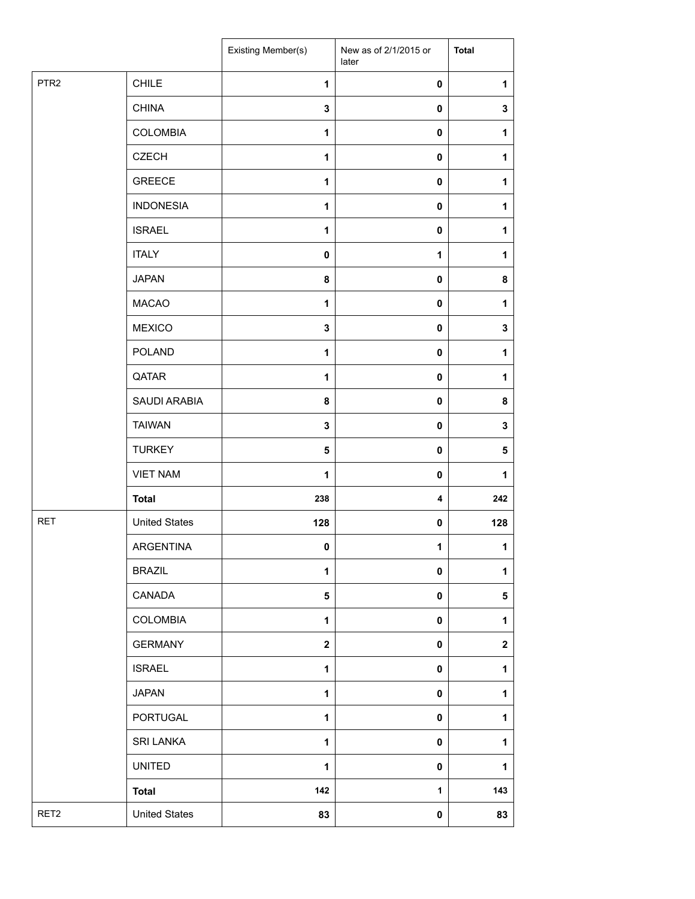|                  |                      | Existing Member(s)      | New as of 2/1/2015 or<br>later | <b>Total</b>     |
|------------------|----------------------|-------------------------|--------------------------------|------------------|
| PTR <sub>2</sub> | <b>CHILE</b>         | 1                       | 0                              | 1                |
|                  | <b>CHINA</b>         | 3                       | $\mathbf 0$                    | $\mathbf 3$      |
|                  | <b>COLOMBIA</b>      | $\mathbf{1}$            | $\mathbf 0$                    | 1                |
|                  | <b>CZECH</b>         | $\mathbf{1}$            | 0                              | 1                |
|                  | <b>GREECE</b>        | $\mathbf{1}$            | 0                              | 1                |
|                  | <b>INDONESIA</b>     | $\mathbf{1}$            | 0                              | 1                |
|                  | <b>ISRAEL</b>        | $\mathbf{1}$            | 0                              | 1                |
|                  | <b>ITALY</b>         | 0                       | 1                              | 1                |
|                  | <b>JAPAN</b>         | 8                       | 0                              | 8                |
|                  | <b>MACAO</b>         | $\mathbf{1}$            | 0                              | 1                |
|                  | <b>MEXICO</b>        | 3                       | 0                              | $\mathbf 3$      |
|                  | <b>POLAND</b>        | $\mathbf{1}$            | $\pmb{0}$                      | 1                |
|                  | QATAR                | 1                       | 0                              | 1                |
|                  | SAUDI ARABIA         | 8                       | $\mathbf 0$                    | 8                |
|                  | <b>TAIWAN</b>        | 3                       | 0                              | $\mathbf 3$      |
|                  | <b>TURKEY</b>        | 5                       | $\pmb{0}$                      | ${\bf 5}$        |
|                  | <b>VIET NAM</b>      | $\mathbf{1}$            | $\pmb{0}$                      | 1                |
|                  | <b>Total</b>         | 238                     | 4                              | 242              |
| <b>RET</b>       | <b>United States</b> | 128                     | 0                              | 128              |
|                  | ARGENTINA            | 0                       | $\mathbf 1$                    | $\mathbf{1}$     |
|                  | <b>BRAZIL</b>        | 1                       | $\pmb{0}$                      | 1                |
|                  | CANADA               | 5                       | 0                              | 5                |
|                  | <b>COLOMBIA</b>      | $\mathbf{1}$            | $\mathbf 0$                    | 1                |
|                  | <b>GERMANY</b>       | $\overline{\mathbf{2}}$ | 0                              | $\boldsymbol{2}$ |
|                  | <b>ISRAEL</b>        | 1                       | 0                              | 1                |
|                  | <b>JAPAN</b>         | 1                       | $\pmb{0}$                      | $\mathbf{1}$     |
|                  | PORTUGAL             | $\mathbf{1}$            | $\pmb{0}$                      | 1                |
|                  | <b>SRI LANKA</b>     | 1                       | $\pmb{0}$                      | 1                |
|                  | <b>UNITED</b>        | $\mathbf{1}$            | 0                              | 1                |
|                  | <b>Total</b>         | 142                     | 1                              | 143              |
| RET <sub>2</sub> | <b>United States</b> | 83                      | 0                              | 83               |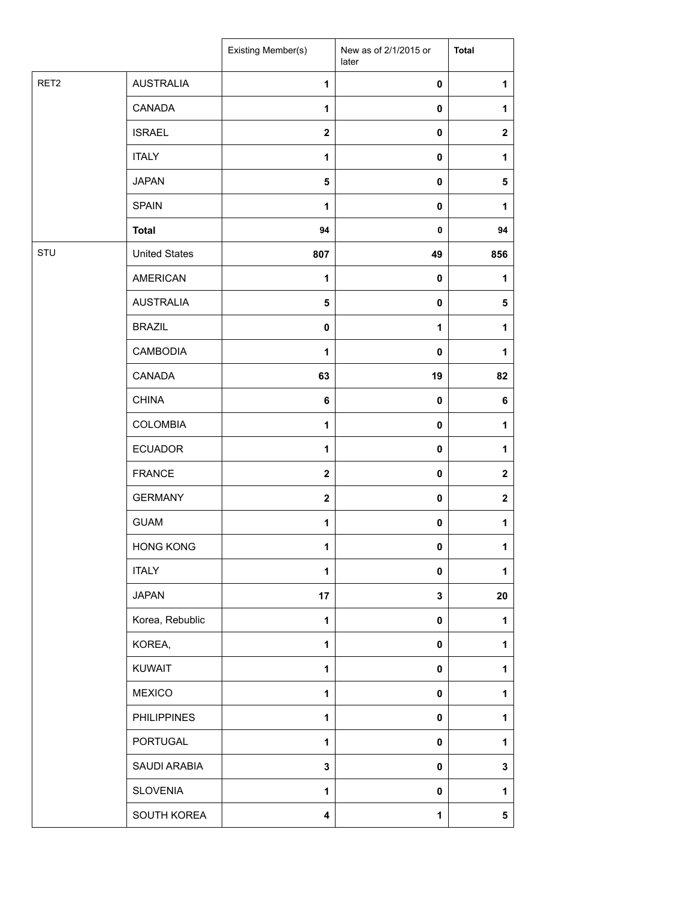|                  |                      | Existing Member(s) | New as of 2/1/2015 or<br>later | <b>Total</b> |
|------------------|----------------------|--------------------|--------------------------------|--------------|
| RET <sub>2</sub> | <b>AUSTRALIA</b>     | 1                  | 0                              | 1            |
|                  | CANADA               | $\mathbf{1}$       | 0                              | 1            |
|                  | <b>ISRAEL</b>        | $\mathbf 2$        | 0                              | $\mathbf 2$  |
|                  | <b>ITALY</b>         | 1                  | 0                              | 1            |
|                  | <b>JAPAN</b>         | 5                  | 0                              | 5            |
|                  | <b>SPAIN</b>         | $\mathbf{1}$       | 0                              | 1            |
|                  | <b>Total</b>         | 94                 | 0                              | 94           |
| STU              | <b>United States</b> | 807                | 49                             | 856          |
|                  | <b>AMERICAN</b>      | $\mathbf{1}$       | 0                              | 1            |
|                  | <b>AUSTRALIA</b>     | $\sqrt{5}$         | 0                              | 5            |
|                  | <b>BRAZIL</b>        | $\mathbf 0$        | 1                              | 1            |
|                  | <b>CAMBODIA</b>      | 1                  | $\pmb{0}$                      | 1            |
|                  | CANADA               | 63                 | 19                             | 82           |
|                  | <b>CHINA</b>         | 6                  | 0                              | 6            |
|                  | <b>COLOMBIA</b>      | 1                  | 0                              | 1            |
|                  | <b>ECUADOR</b>       | $\mathbf{1}$       | 0                              | 1            |
|                  | <b>FRANCE</b>        | $\mathbf{2}$       | 0                              | $\mathbf 2$  |
|                  | <b>GERMANY</b>       | $\mathbf{2}$       | 0                              | $\mathbf 2$  |
|                  | <b>GUAM</b>          | 1                  | 0                              | 1            |
|                  | <b>HONG KONG</b>     | 1                  | 0                              | 1            |
|                  | <b>ITALY</b>         | 1                  | 0                              | $\mathbf{1}$ |
|                  | <b>JAPAN</b>         | 17                 | 3                              | 20           |
|                  | Korea, Rebublic      | 1                  | $\mathbf 0$                    | 1            |
|                  | KOREA,               | $\mathbf{1}$       | $\mathbf 0$                    | 1            |
|                  | <b>KUWAIT</b>        | 1                  | 0                              | 1            |
|                  | <b>MEXICO</b>        | $\mathbf{1}$       | 0                              | 1            |
|                  | <b>PHILIPPINES</b>   | $\mathbf{1}$       | 0                              | 1            |
|                  | PORTUGAL             | $\mathbf{1}$       | 0                              | $\mathbf{1}$ |
|                  | SAUDI ARABIA         | $\mathbf 3$        | 0                              | 3            |
|                  | <b>SLOVENIA</b>      | $\mathbf{1}$       | $\mathbf 0$                    | 1            |
|                  | SOUTH KOREA          | 4                  | 1                              | 5            |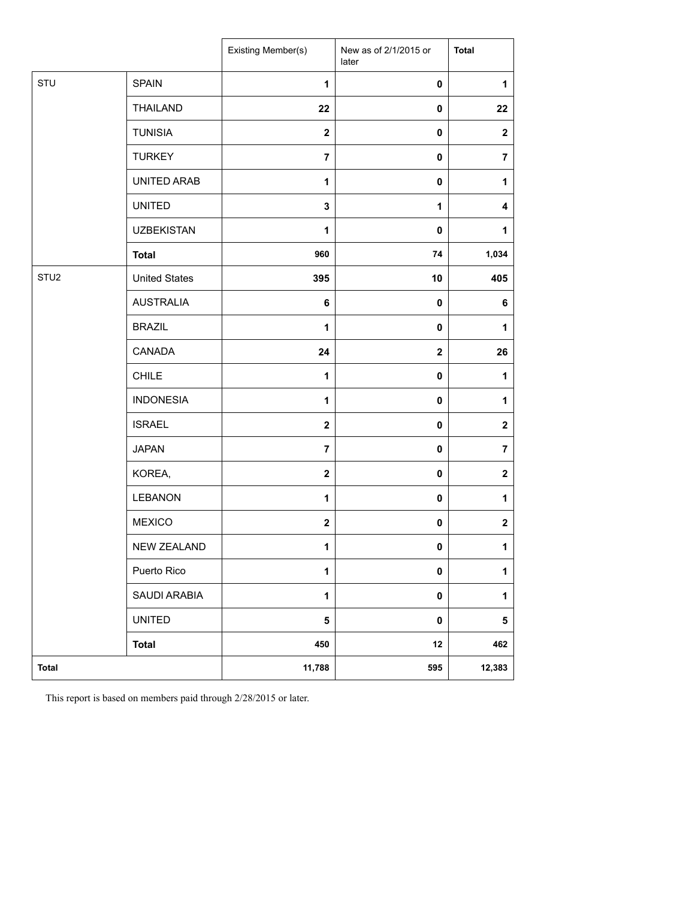|                  |                      | Existing Member(s) | New as of 2/1/2015 or<br>later | <b>Total</b>     |
|------------------|----------------------|--------------------|--------------------------------|------------------|
| STU              | <b>SPAIN</b>         | $\mathbf{1}$       | $\pmb{0}$                      | $\mathbf{1}$     |
|                  | <b>THAILAND</b>      | 22                 | $\mathbf 0$                    | 22               |
|                  | <b>TUNISIA</b>       | $\mathbf{2}$       | 0                              | $\boldsymbol{2}$ |
|                  | <b>TURKEY</b>        | $\overline{7}$     | 0                              | $\overline{7}$   |
|                  | UNITED ARAB          | $\mathbf{1}$       | 0                              | 1                |
|                  | <b>UNITED</b>        | $\mathbf 3$        | $\mathbf{1}$                   | 4                |
|                  | <b>UZBEKISTAN</b>    | $\mathbf{1}$       | 0                              | 1                |
|                  | <b>Total</b>         | 960                | 74                             | 1,034            |
| STU <sub>2</sub> | <b>United States</b> | 395                | 10                             | 405              |
|                  | <b>AUSTRALIA</b>     | 6                  | $\mathbf 0$                    | 6                |
|                  | <b>BRAZIL</b>        | 1                  | 0                              | 1                |
|                  | CANADA               | 24                 | $\mathbf 2$                    | 26               |
|                  | <b>CHILE</b>         | 1                  | 0                              | 1                |
|                  | <b>INDONESIA</b>     | $\mathbf{1}$       | 0                              | 1                |
|                  | <b>ISRAEL</b>        | $\mathbf{2}$       | 0                              | $\boldsymbol{2}$ |
|                  | <b>JAPAN</b>         | $\overline{7}$     | 0                              | $\overline{7}$   |
|                  | KOREA,               | $\mathbf{2}$       | $\pmb{0}$                      | $\mathbf 2$      |
|                  | LEBANON              | 1                  | 0                              | 1                |
|                  | <b>MEXICO</b>        | $\mathbf 2$        | 0                              | $\boldsymbol{2}$ |
|                  | <b>NEW ZEALAND</b>   | 1                  | $\mathbf 0$                    | $\mathbf{1}$     |
|                  | Puerto Rico          | $\mathbf{1}$       | $\pmb{0}$                      | $\mathbf 1$      |
|                  | SAUDI ARABIA         | $\mathbf{1}$       | $\pmb{0}$                      | $\mathbf{1}$     |
|                  | <b>UNITED</b>        | 5                  | $\pmb{0}$                      | $\sqrt{5}$       |
|                  | <b>Total</b>         | 450                | $12$                           | 462              |
| <b>Total</b>     |                      | 11,788             | 595                            | 12,383           |

This report is based on members paid through 2/28/2015 or later.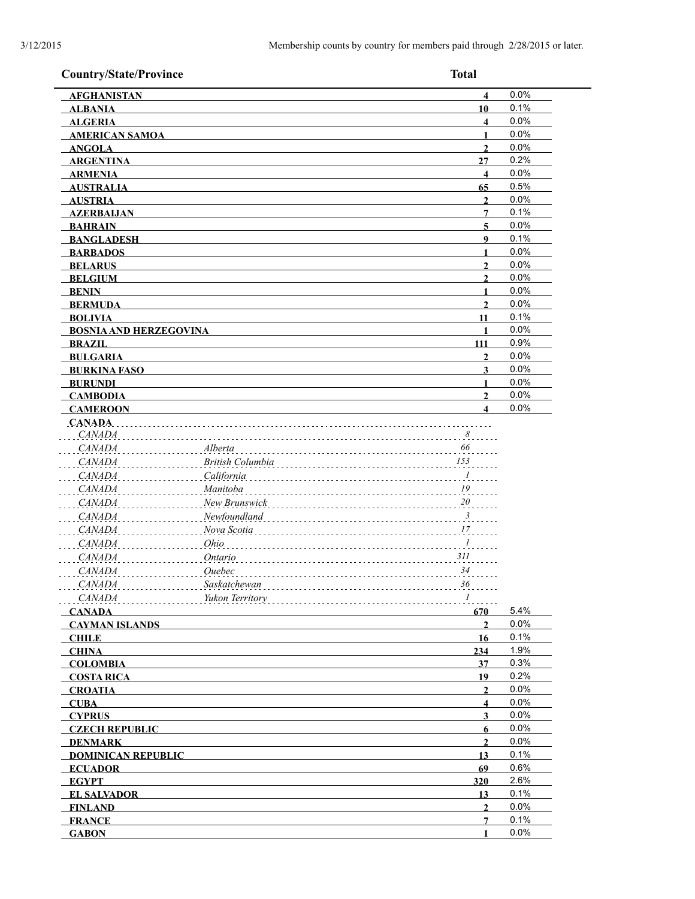| <b>Country/State/Province</b> | <b>Total</b>                                     |      |
|-------------------------------|--------------------------------------------------|------|
| <b>AFGHANISTAN</b>            | $\overline{\mathbf{4}}$                          | 0.0% |
| <b>ALBANIA</b>                | 10                                               | 0.1% |
| <b>ALGERIA</b>                | $\overline{\mathbf{4}}$                          | 0.0% |
| <b>AMERICAN SAMOA</b>         | 1                                                | 0.0% |
| <b>ANGOLA</b>                 | $\overline{2}$                                   | 0.0% |
| <b>ARGENTINA</b>              | 27                                               | 0.2% |
| <b>ARMENIA</b>                | $\overline{\mathbf{4}}$                          | 0.0% |
| <b>AUSTRALIA</b>              | 65                                               | 0.5% |
| <b>AUSTRIA</b>                | $\mathbf{2}$                                     | 0.0% |
| <b>AZERBALJAN</b>             | 7                                                | 0.1% |
| <b>BAHRAIN</b>                | 5                                                | 0.0% |
| <b>BANGLADESH</b>             | 9                                                | 0.1% |
| <b>BARBADOS</b>               | $\blacksquare$                                   | 0.0% |
| <b>BELARUS</b>                | $\overline{2}$                                   | 0.0% |
| <b>BELGIUM</b>                | $\mathbf{2}$                                     | 0.0% |
| <b>BENIN</b>                  | 1                                                | 0.0% |
| <b>BERMUDA</b>                | $\overline{2}$                                   | 0.0% |
| <b>BOLIVIA</b>                | 11                                               | 0.1% |
| <b>BOSNIA AND HERZEGOVINA</b> | 1                                                | 0.0% |
| <b>BRAZIL</b>                 | 111                                              | 0.9% |
| <b>BULGARIA</b>               | $\mathbf{2}$                                     | 0.0% |
| <b>BURKINA FASO</b>           | 3                                                | 0.0% |
| <b>BURUNDI</b>                | 1                                                | 0.0% |
| <b>CAMBODIA</b>               | $\overline{2}$                                   | 0.0% |
| <b>CAMEROON</b>               | $\boldsymbol{\Lambda}$                           | 0.0% |
| <b>CANADA</b>                 |                                                  |      |
| CANADA                        | $\ldots$ $8$                                     |      |
| <i>CANADA</i>                 | 66<br>Alberta                                    |      |
| <i>CANADA</i>                 | 153<br><b>British Columbia</b>                   |      |
| <i>CANADA</i>                 | California<br>$\cdots$ <sup>1</sup>              |      |
| <i>CANADA</i>                 | $\frac{19}{100}$<br>Manitoba                     |      |
| <i>CANADA</i>                 | $\frac{20}{100}$<br>New Brunswick                |      |
| <i>CANADA</i>                 | $\cdot \cdot \cdot$ <sup>3</sup><br>Newfoundland |      |
| <b>CANADA</b>                 | Nova Scotia<br>17                                |      |
|                               | Ohio                                             |      |
| <b>CANADA</b>                 | $\ldots$ $\frac{l}{l}$                           |      |
| <i>CANADA</i>                 | Ontario<br>311                                   |      |
| <i>CANADA</i>                 | 34<br>Quebec                                     |      |
| CANADA                        | Saskatchewan<br>36                               |      |
| <b>CANADA</b><br>.            | Yukon Territory<br>$I$                           |      |
| <b>CANADA</b>                 | 670                                              | 5.4% |
| <b>CAYMAN ISLANDS</b>         | $\overline{2}$                                   | 0.0% |
| <b>CHILE</b>                  | 16                                               | 0.1% |
| <b>CHINA</b>                  | 234                                              | 1.9% |
| <b>COLOMBIA</b>               | 37                                               | 0.3% |
| <b>COSTA RICA</b>             | 19                                               | 0.2% |
| <b>CROATIA</b>                | $\overline{2}$                                   | 0.0% |
| <b>CUBA</b>                   | $\overline{\mathbf{4}}$                          | 0.0% |
| <b>CYPRUS</b>                 | $\overline{\mathbf{3}}$                          | 0.0% |
| <b>CZECH REPUBLIC</b>         | 6                                                | 0.0% |
| <b>DENMARK</b>                | $\overline{2}$                                   | 0.0% |
| <b>DOMINICAN REPUBLIC</b>     | 13                                               | 0.1% |
| <b>ECUADOR</b>                | 69                                               | 0.6% |
| <b>EGYPT</b>                  | 320                                              | 2.6% |
| <b>EL SALVADOR</b>            | 13                                               | 0.1% |
| <b>FINLAND</b>                | $\overline{2}$                                   | 0.0% |
| <b>FRANCE</b>                 | $\overline{7}$                                   | 0.1% |
| <b>GABON</b>                  | 1                                                | 0.0% |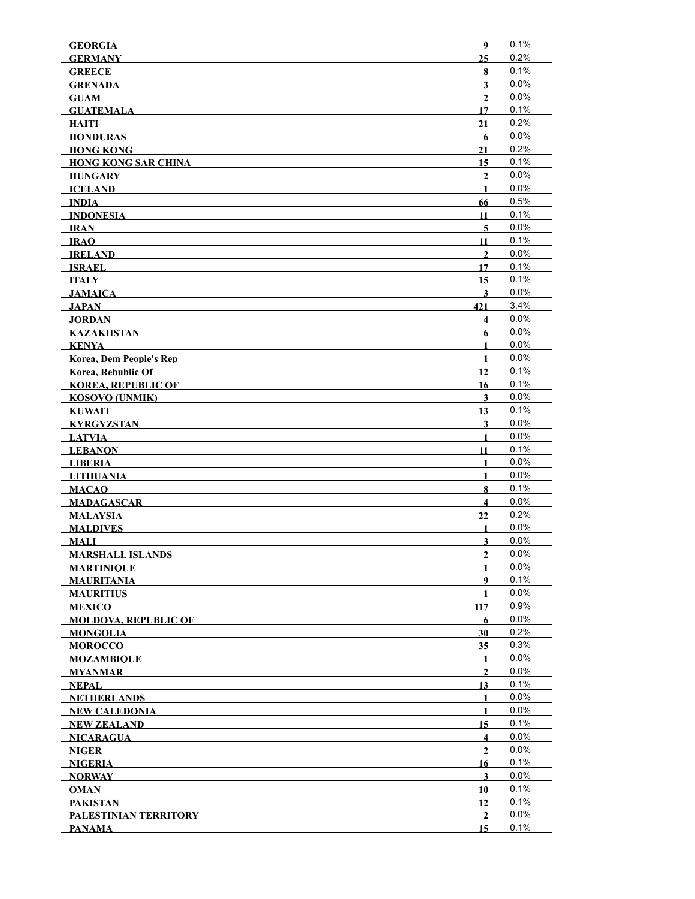| <b>GEORGIA</b>                 | 9                       | 0.1% |
|--------------------------------|-------------------------|------|
| <b>GERMANY</b>                 | 25                      | 0.2% |
| <b>GREECE</b>                  | 8                       | 0.1% |
| <b>GRENADA</b>                 | $\overline{\mathbf{3}}$ | 0.0% |
| <b>GUAM</b>                    | $\overline{2}$          | 0.0% |
| <b>GUATEMALA</b>               | 17                      | 0.1% |
| HAITI                          | 21                      | 0.2% |
| <b>HONDURAS</b>                | 6                       | 0.0% |
| <b>HONG KONG</b>               | 21                      | 0.2% |
| <b>HONG KONG SAR CHINA</b>     | 15                      | 0.1% |
| <b>HUNGARY</b>                 | $\mathbf{2}$            | 0.0% |
| <b>ICELAND</b>                 | $\mathbf{1}$            | 0.0% |
| <b>INDIA</b>                   | 66                      | 0.5% |
| <b>INDONESIA</b>               | 11                      | 0.1% |
| <b>IRAN</b>                    | $\overline{5}$          | 0.0% |
| <b>IRAO</b>                    | 11                      | 0.1% |
| <b>IRELAND</b>                 | $\mathbf{2}$            | 0.0% |
| <b>ISRAEL</b>                  | 17                      | 0.1% |
| ITALY                          | 15                      | 0.1% |
| JAMAICA                        | 3                       | 0.0% |
| JAPAN                          | 421                     | 3.4% |
| <b>JORDAN</b>                  | $\overline{\mathbf{4}}$ | 0.0% |
| <b>KAZAKHSTAN</b>              | 6                       | 0.0% |
| <b>KENYA</b>                   | $\mathbf{1}$            | 0.0% |
| <b>Korea, Dem People's Rep</b> | $\mathbf{1}$            | 0.0% |
| <b>Korea, Rebublic Of</b>      | 12                      | 0.1% |
| <b>KOREA, REPUBLIC OF</b>      | 16                      | 0.1% |
| <b>KOSOVO (UNMIK)</b>          | $\mathbf{3}$            | 0.0% |
| <b>KUWAIT</b>                  | 13                      | 0.1% |
| <b>KYRGYZSTAN</b>              | $\mathbf{3}$            | 0.0% |
| <b>LATVIA</b>                  | $\mathbf{1}$            | 0.0% |
| <b>LEBANON</b>                 | 11                      | 0.1% |
| <b>LIBERIA</b>                 | $\mathbf{1}$            | 0.0% |
| <b>LITHUANIA</b>               | $\mathbf{1}$            | 0.0% |
| <b>MACAO</b>                   | 8                       | 0.1% |
| <b>MADAGASCAR</b>              | $\overline{\mathbf{4}}$ | 0.0% |
| <b>MALAYSIA</b>                | 22                      | 0.2% |
| <b>MALDIVES</b>                | $\mathbf{1}$            | 0.0% |
| <b>MALI</b>                    | $\overline{\mathbf{3}}$ | 0.0% |
| <b>MARSHALL ISLANDS</b>        | $\overline{2}$          | 0.0% |
| <b>MARTINIOUE</b>              | 1                       | 0.0% |
| <b>MAURITANIA</b>              | 9                       | 0.1% |
| <b>MAURITIUS</b>               | 1                       | 0.0% |
| <b>MEXICO</b>                  | 117                     | 0.9% |
| <b>MOLDOVA, REPUBLIC OF</b>    | 6                       | 0.0% |
| <b>MONGOLIA</b>                | 30                      | 0.2% |
| <b>MOROCCO</b>                 | 35                      | 0.3% |
| <b>MOZAMBIOUE</b>              | $\mathbf{1}$            | 0.0% |
| <b>MYANMAR</b>                 | $\overline{2}$          | 0.0% |
| <b>NEPAL</b>                   | 13                      | 0.1% |
| <b>NETHERLANDS</b>             | 1                       | 0.0% |
| NEW CALEDONIA                  | 1                       | 0.0% |
| <b>NEW ZEALAND</b>             | 15                      | 0.1% |
| <b>NICARAGUA</b>               | $\overline{\mathbf{4}}$ | 0.0% |
| NIGER                          | $\mathbf{2}$            | 0.0% |
| <b>NIGERIA</b>                 | 16                      | 0.1% |
| <b>NORWAY</b>                  | 3                       | 0.0% |
| <b>OMAN</b>                    | 10                      | 0.1% |
| <b>PAKISTAN</b>                | 12                      | 0.1% |
| PALESTINIAN TERRITORY          | $\overline{2}$          | 0.0% |
| <b>PANAMA</b>                  | 15                      | 0.1% |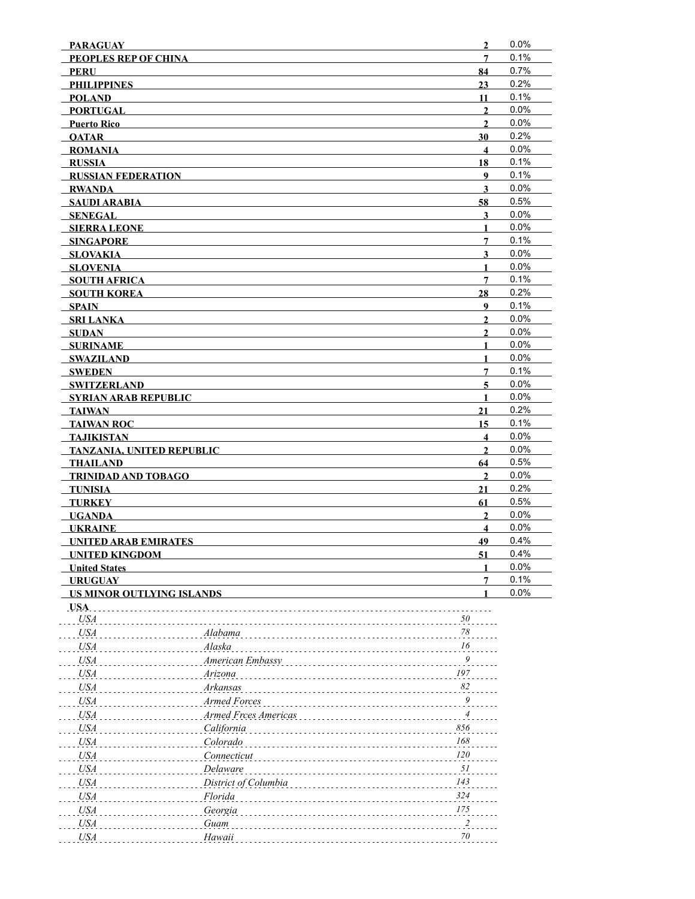| <b>PARAGUAY</b>                       |                                                       | $\overline{2}$          | 0.0%         |
|---------------------------------------|-------------------------------------------------------|-------------------------|--------------|
| <b>PEOPLES REP OF CHINA</b>           |                                                       | $\overline{7}$          | 0.1%         |
| <b>PERU</b>                           |                                                       | 84                      | 0.7%         |
| <b>PHILIPPINES</b>                    |                                                       | 23                      | 0.2%         |
| <b>POLAND</b>                         |                                                       | 11                      | 0.1%         |
| <b>PORTUGAL</b>                       |                                                       | $\overline{2}$          | 0.0%         |
| <b>Puerto Rico</b>                    |                                                       | $\overline{2}$          | 0.0%         |
| <b>OATAR</b>                          |                                                       | 30                      | 0.2%         |
| <b>ROMANIA</b>                        |                                                       | $\overline{\mathbf{4}}$ | 0.0%         |
| <b>RUSSIA</b>                         |                                                       | 18                      | 0.1%         |
| <b>RUSSIAN FEDERATION</b>             |                                                       | 9                       | 0.1%         |
| <b>RWANDA</b>                         |                                                       | $\mathbf{3}$            | 0.0%<br>0.5% |
| <b>SAUDI ARABIA</b>                   |                                                       | 58<br>$\mathbf{3}$      | 0.0%         |
| <b>SENEGAL</b><br><b>SIERRA LEONE</b> |                                                       | $\mathbf{1}$            | 0.0%         |
| <b>SINGAPORE</b>                      |                                                       | 7                       | 0.1%         |
| SLOVAKIA                              |                                                       | $\mathbf{3}$            | 0.0%         |
| <b>SLOVENIA</b>                       |                                                       | $\mathbf{1}$            | 0.0%         |
| <b>SOUTH AFRICA</b>                   |                                                       | $\overline{7}$          | 0.1%         |
| <b>SOUTH KOREA</b>                    |                                                       | 28                      | 0.2%         |
| <b>SPAIN</b>                          |                                                       | 9                       | 0.1%         |
| <b>SRI LANKA</b>                      |                                                       | $\mathbf{2}$            | 0.0%         |
| SUDAN                                 |                                                       | $\overline{2}$          | 0.0%         |
| <b>SURINAME</b>                       |                                                       | $\mathbf{1}$            | 0.0%         |
| <b>SWAZILAND</b>                      |                                                       | $\mathbf{1}$            | 0.0%         |
| <b>SWEDEN</b>                         |                                                       | $\overline{7}$          | 0.1%         |
| <b>SWITZERLAND</b>                    |                                                       | $\overline{5}$          | 0.0%         |
| <b>SYRIAN ARAB REPUBLIC</b>           |                                                       | $\mathbf{1}$            | 0.0%         |
| TAIWAN                                |                                                       | 21                      | 0.2%         |
| <b>TAIWAN ROC</b>                     |                                                       | 15                      | 0.1%         |
| TAJIKISTAN                            |                                                       | $\overline{\mathbf{4}}$ | 0.0%         |
| <b>TANZANIA, UNITED REPUBLIC</b>      |                                                       | $\mathbf{2}$            | 0.0%         |
| <b>THAILAND</b>                       |                                                       | 64                      | 0.5%         |
| <b>TRINIDAD AND TOBAGO</b>            |                                                       | $\overline{2}$          | 0.0%<br>0.2% |
| <b>TUNISIA</b><br><b>TURKEY</b>       |                                                       | 21<br>61                | 0.5%         |
| <b>UGANDA</b>                         |                                                       | $\overline{2}$          | 0.0%         |
| <b>UKRAINE</b>                        |                                                       | $\overline{\mathbf{4}}$ | 0.0%         |
| <b>UNITED ARAB EMIRATES</b>           |                                                       | 49                      | 0.4%         |
| <b>UNITED KINGDOM</b>                 |                                                       | 51                      | 0.4%         |
| <b>United States</b>                  |                                                       | 1                       | 0.0%         |
| <b>URUGUAY</b>                        |                                                       | $\overline{7}$          | 0.1%         |
| US MINOR OUTLYING ISLANDS             |                                                       | 1                       | 0.0%         |
| USA.                                  |                                                       |                         |              |
| <b>USA</b>                            | 50                                                    |                         |              |
| <b>USA</b>                            | $78\,$<br>Alabama                                     |                         |              |
| <b>USA</b>                            | 16<br>Alaska                                          |                         |              |
| <b>USA</b>                            | $\boldsymbol{g}$<br>American Embassy                  |                         |              |
| <b>USA</b>                            | 197<br>Arizona                                        |                         |              |
| <b>USA</b>                            | 82<br>Arkansas                                        |                         |              |
| <b>USA</b>                            | $\overline{9}$<br>Armed Forces                        |                         |              |
| <b>USA</b>                            | $\ensuremath{\mathnormal{4}}$<br>Armed Frces Americas |                         |              |
| <b>USA</b>                            | 856<br>California                                     |                         |              |
| <b>USA</b>                            | 168<br>Colorado                                       |                         |              |
| <b>USA</b>                            | 120<br>Connecticut                                    |                         |              |
| <b>USA</b>                            | 51<br>Delaware                                        |                         |              |
| <b>USA</b>                            | 143<br>District of Columbia                           |                         |              |
| <b>USA</b>                            | 324<br>Florida                                        |                         |              |
| <b>USA</b>                            | 175<br>Georgia                                        |                         |              |
| <b>USA</b>                            | $\frac{2}{\cdot}$<br>Guam                             |                         |              |
| <b>USA</b>                            | $70\,$<br>Hawaii                                      |                         |              |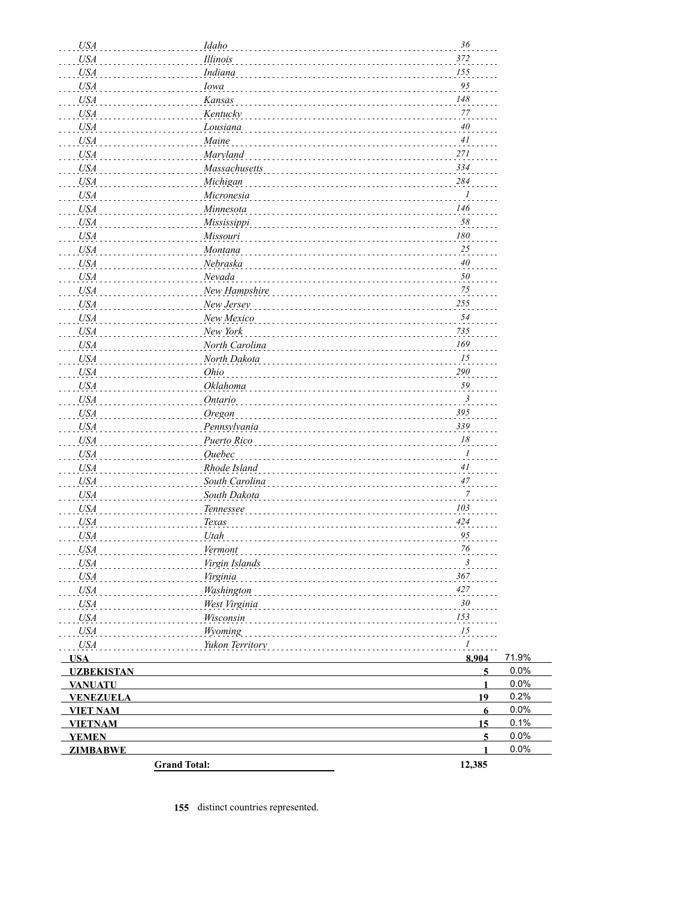| <b>USA</b>                     | Idaho               | $36\,$               |              |
|--------------------------------|---------------------|----------------------|--------------|
| <b>USA</b>                     | Illinois            | 372                  |              |
| <b>USA</b>                     | Indiana             | 155                  |              |
| <b>USA</b>                     | Iowa                | 95                   |              |
| <b>USA</b>                     | Kansas              | 148                  |              |
| <b>USA</b>                     | Kentucky            | 77                   |              |
| <b>USA</b>                     | Lousiana            | 40                   |              |
| <b>USA</b>                     | Maine               | 41                   |              |
| <b>USA</b>                     | Maryland            | 271                  |              |
| <b>USA</b>                     | Massachusetts       | 334<br>284           |              |
| <b>USA</b>                     | Michigan            | $\boldsymbol{l}$     |              |
| <b>USA</b>                     | Micronesia          | 146                  |              |
| <b>USA</b>                     | Minnesota           | 58                   |              |
| <b>USA</b>                     | Mississippi         | ${\it 180}$          |              |
| <b>USA</b>                     | Missouri            | 25                   |              |
| <b>USA</b>                     | Montana             | 40                   |              |
| <b>USA</b><br><b>USA</b>       | Nebraska<br>Nevada  | 50                   |              |
| <b>USA</b>                     | New Hampshire       | 75                   |              |
| <b>USA</b>                     | New Jersey          | 255                  |              |
| <b>USA</b>                     | New Mexico          | 54                   |              |
| <b>USA</b>                     | New York            | 735                  |              |
| <b>USA</b>                     | North Carolina      | 169                  |              |
| <b>USA</b>                     | North Dakota        | 15                   |              |
| <b>USA</b>                     | Ohio                | 290                  |              |
| <b>USA</b>                     | Oklahoma            | 59                   |              |
| <b>USA</b>                     | Ontario             | 3                    |              |
| <b>USA</b>                     | Oregon              | 395                  |              |
| <b>USA</b>                     | Pennsylvania        | 339                  |              |
| <b>USA</b>                     | Puerto Rico         | 18                   |              |
| <b>USA</b>                     | Ouebec              | $\boldsymbol{l}$     |              |
| <b>USA</b>                     | Rhode Island        | 41                   |              |
| <b>USA</b>                     | South Carolina      | 47                   |              |
| <b>USA</b>                     | South Dakota        | 7                    |              |
| <b>USA</b>                     | Tennessee           | 103                  |              |
| <b>USA</b>                     | Texas               | 424                  |              |
| <b>USA</b>                     | Utah                | 95                   |              |
| USA <sub>.</sub>               | Vermont             | 76                   |              |
| <b>USA</b>                     | Virgin Islands      | $\mathbf{3}$         |              |
| <b>USA</b>                     | Virginia            | 367                  |              |
| <b>USA</b>                     | Washington          | 427                  |              |
| <b>USA</b>                     | West Virginia       | 30                   |              |
| <b>USA</b>                     | Wisconsin           | 153                  |              |
| <b>USA</b>                     | Wyoming             | 15                   |              |
| <b>USA</b>                     | Yukon Territory     | $\mathcal{I}$        |              |
| <b>USA</b>                     |                     | 8,904                | 71.9%        |
| <b>UZBEKISTAN</b>              |                     | $\overline{5}$       | 0.0%         |
| <b>VANUATU</b>                 |                     | $\mathbf{1}$         | 0.0%         |
| <b>VENEZUELA</b>               |                     | 19                   | 0.2%         |
| <b>VIET NAM</b>                |                     | $6\phantom{1}$       | 0.0%         |
| <b>VIETNAM</b><br><b>YEMEN</b> |                     | 15<br>$\overline{5}$ | 0.1%<br>0.0% |
| <b>ZIMBABWE</b>                |                     | 1                    | 0.0%         |
|                                | <b>Grand Total:</b> | 12,385               |              |
|                                |                     |                      |              |

**155** distinct countries represented.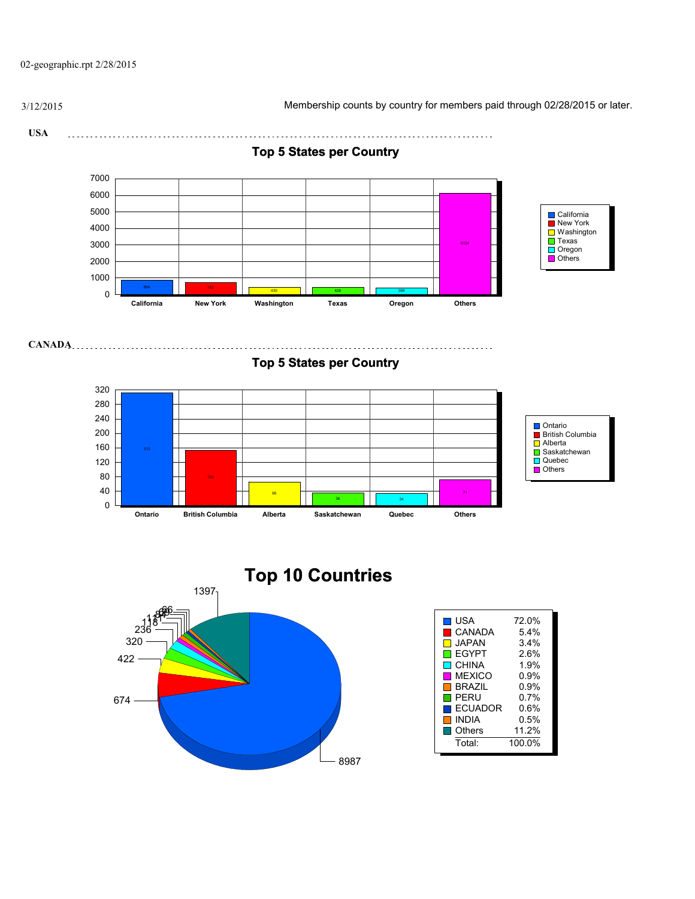02-geographic.rpt 2/28/2015

3/12/2015 Membership counts by country for members paid through 02/28/2015 or later.

**USA** 



8987

**Top 5 States per Country**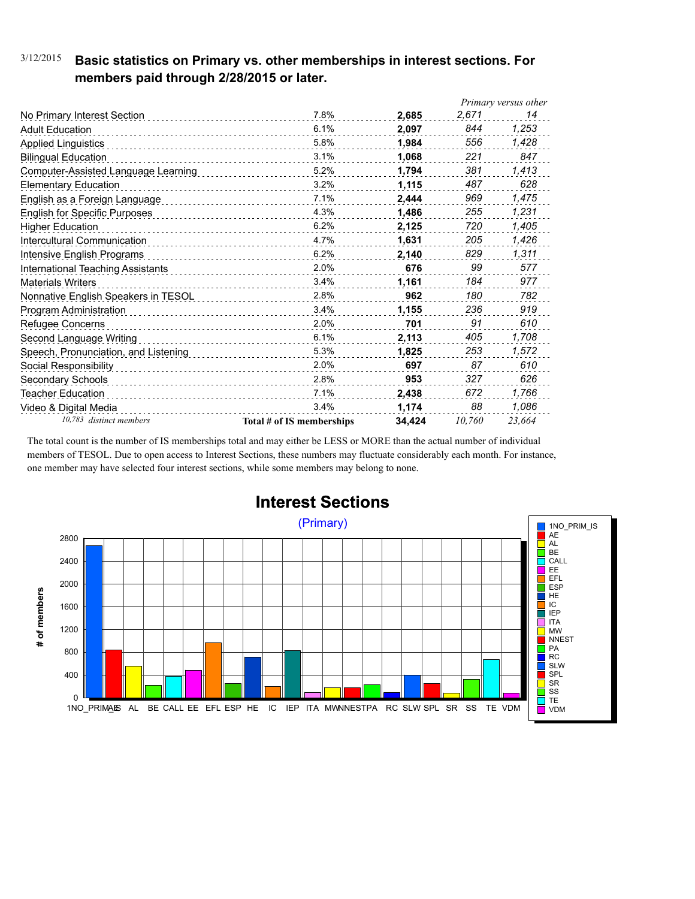### 3/12/2015 **Basic statistics on Primary vs. other memberships in interest sections. For members paid through 2/28/2015 or later.**

|                                      |                           |        |        | Primary versus other |
|--------------------------------------|---------------------------|--------|--------|----------------------|
| No Primary Interest Section          | 7.8%                      | 2,685  | 2,671  | 14                   |
| <b>Adult Education</b>               | 6.1%                      | 2.097  | 844    | 1,253                |
| <b>Applied Linguistics</b>           | 5.8%                      | 1.984  | 556    | 1,428                |
| <b>Bilingual Education</b>           | 3.1%                      | 1,068  | 221    | 847                  |
| Computer-Assisted Language Learning  | 5.2%                      | 1,794  | 381    | 1,413                |
| <b>Elementary Education</b>          | 3.2%                      | 1,115  | 487    | 628                  |
| English as a Foreign Language        | 7.1%                      | 2.444  | 969    | 1,475                |
| <b>English for Specific Purposes</b> | 4.3%                      | 1.486  | 255    | 1,231                |
| <b>Higher Education</b>              | 6.2%                      | 2,125  | 720    | 1,405                |
| Intercultural Communication          | 4.7%                      | 1.631  | 205    | 1,426                |
| Intensive English Programs           | 6.2%                      | 2,140  | 829    | 1,311                |
| International Teaching Assistants    | 2.0%                      | 676    | 99     | 577                  |
| <b>Materials Writers</b>             | 3.4%                      | 1,161  | 184    | 977                  |
| Nonnative English Speakers in TESOL  | 2.8%                      | 962    | 180    | 782                  |
| Program Administration               | 3.4%                      | 1,155  | 236    | 919                  |
| Refugee Concerns                     | 2.0%                      | 701    | 91     | 610                  |
| Second Language Writing              | 6.1%                      | 2,113  | 405    | 1,708                |
| Speech, Pronunciation, and Listening | 5.3%                      | 1,825  | 253    | 1,572                |
| Social Responsibility                | 2.0%                      | 697    | 87     | 610                  |
| Secondary Schools                    | 2.8%                      | 953    | 327    | 626                  |
| Teacher Education                    | 7.1%                      | 2,438  | 672    | 1,766                |
| Video & Digital Media                | 3.4%                      | 1,174  | 88     | 1,086                |
| 10,783 distinct members              | Total # of IS memberships | 34.424 | 10,760 | 23,664               |

The total count is the number of IS memberships total and may either be LESS or MORE than the actual number of individual members of TESOL. Due to open access to Interest Sections, these numbers may fluctuate considerably each month. For instance, one member may have selected four interest sections, while some members may belong to none.



### **Interest Sections**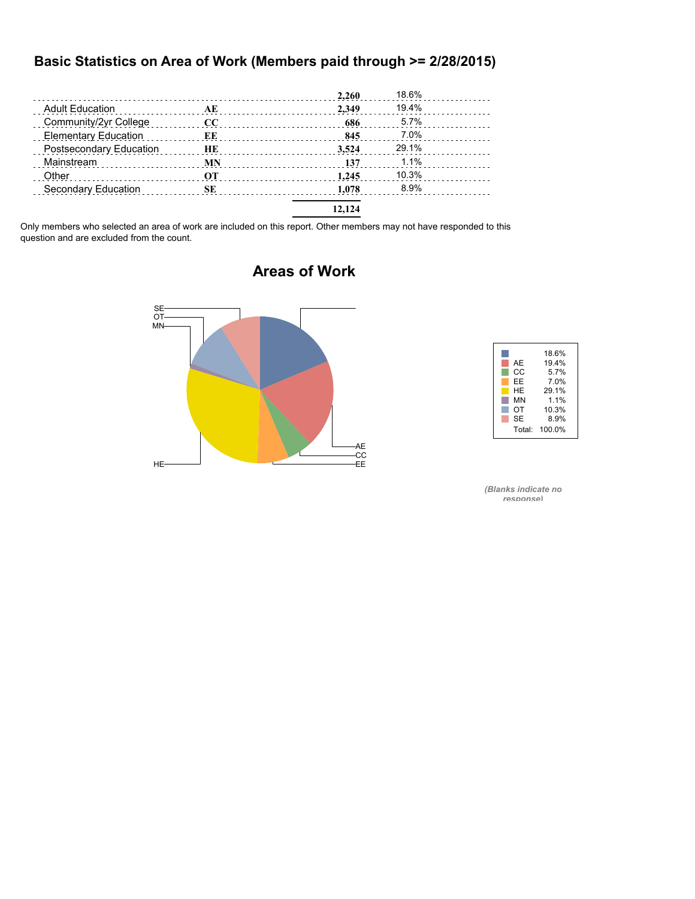#### **Basic Statistics on Area of Work (Members paid through >= 2/28/2015)**

|                             |           | 2,260  | 18.6% |  |
|-----------------------------|-----------|--------|-------|--|
| <b>Adult Education</b>      | AE        | 2.349  | 19.4% |  |
| Community/2yr College       | $\bf CC$  | 686    | 5.7%  |  |
| <b>Elementary Education</b> | EE        | 845    | 7.0%  |  |
| Postsecondary Education     | <b>HE</b> | 3.524  | 29.1% |  |
| Mainstream                  | <b>MN</b> | 137    | 1.1%  |  |
| Other                       | OТ        | 1.245  | 10.3% |  |
| Secondary Education         | SЕ        | 1.078  | 8.9%  |  |
|                             |           | 12.124 |       |  |

Only members who selected an area of work are included on this report. Other members may not have responded to this question and are excluded from the count.



### **Areas of Work**



*(Blanks indicate no response)*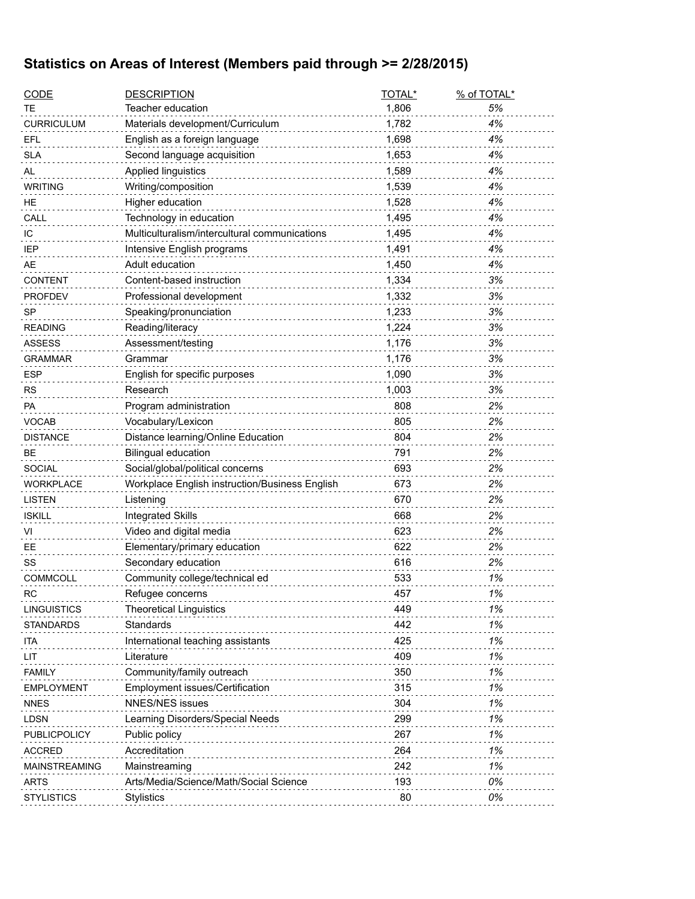# **Statistics on Areas of Interest (Members paid through >= 2/28/2015)**

| <u>CODE</u>     | <b>DESCRIPTION</b>                             | TOTAL* | % of TOTAL* |
|-----------------|------------------------------------------------|--------|-------------|
| ТE              | Teacher education                              | 1,806  | 5%          |
| CURRICULUM      | Materials development/Curriculum               | 1,782  | 4%          |
| EFL             | English as a foreign language                  | 1,698  | 4%          |
| <b>SLA</b>      | Second language acquisition                    | 1,653  | 4%          |
| AL              | Applied linguistics                            | 1,589  | 4%          |
| <b>WRITING</b>  | Writing/composition                            | 1,539  | 4%          |
| ΗE              | Higher education                               | 1,528  | 4%          |
| CALL            | Technology in education                        | 1,495  | 4%          |
| IС              | Multiculturalism/intercultural communications  | 1,495  | 4%          |
| IEP             | Intensive English programs                     | 1,491  | 4%          |
| AE              | Adult education                                | 1,450  | 4%          |
| <b>CONTENT</b>  | Content-based instruction                      | 1,334  | 3%          |
| <b>PROFDEV</b>  | Professional development                       | 1,332  | 3%          |
| SP              | Speaking/pronunciation                         | 1,233  | 3%          |
| <b>READING</b>  | Reading/literacy                               | 1,224  | 3%          |
| <b>ASSESS</b>   | Assessment/testing                             | 1,176  | 3%          |
| GRAMMAR         | Grammar                                        | 1,176  | 3%          |
| <b>ESP</b>      | English for specific purposes                  | 1,090  | 3%          |
| RS              | Research                                       | 1,003  | 3%          |
| РA              | Program administration                         | 808    | 2%          |
| VOCAB           | Vocabulary/Lexicon                             | 805    | 2%          |
| <b>DISTANCE</b> | Distance learning/Online Education             | 804    | 2%          |
| ВE              | <b>Bilingual education</b>                     | 791    | 2%          |
| <b>SOCIAL</b>   | Social/global/political concerns               | 693    | 2%          |
| WORKPLACE       | Workplace English instruction/Business English | 673    | 2%          |
| <b>LISTEN</b>   | Listening                                      | 670    | 2%          |
| <b>ISKILL</b>   | <b>Integrated Skills</b>                       | 668    | 2%          |
| VI              | Video and digital media                        | 623    | 2%          |
| EЕ              | Elementary/primary education                   | 622    | 2%          |
| SS              | Secondary education                            | 616    | 2%          |
| <b>COMMCOLL</b> | Community college/technical ed                 | 533    | 1%          |
| RC              | Refugee concerns                               | 457    | 1%          |
| LINGUISTICS     | <b>Theoretical Linguistics</b>                 | 449    | 1%          |
| STANDARDS       | Standards                                      | 442    | 1%          |
| ita             | International teaching assistants              | 425    | 1%          |
| LIT             | Literature                                     | 409    | 1%          |
| <b>FAMILY</b>   | Community/family outreach                      | 350    | 1%          |
| EMPLOYMENT      | Employment issues/Certification                | 315    | 1%          |
| <b>NNES</b>     | <b>NNES/NES issues</b>                         | 304    | 1%          |
| LDSN            | Learning Disorders/Special Needs               | 299    | 1%          |
| PUBLICPOLICY    | Public policy                                  | 267    | 1%          |
| <b>ACCRED</b>   | Accreditation                                  | 264    | 1%          |
| MAINSTREAMING   | Mainstreaming                                  | 242    | 1%          |
| ARTS            | Arts/Media/Science/Math/Social Science         | 193    | 0%          |
| STYLISTICS      | <b>Stylistics</b>                              | 80     | 0%          |
|                 |                                                |        |             |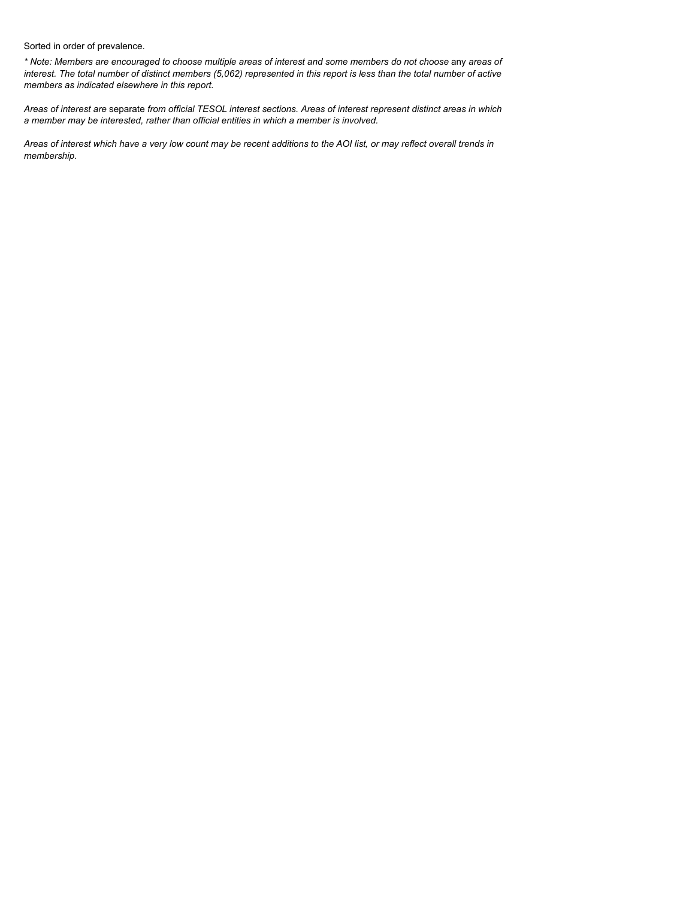Sorted in order of prevalence.

*\* Note: Members are encouraged to choose multiple areas of interest and some members do not choose* any *areas of interest. The total number of distinct members (5,062) represented in this report is less than the total number of active members as indicated elsewhere in this report.*

*Areas of interest are* separate *from official TESOL interest sections. Areas of interest represent distinct areas in which a member may be interested, rather than official entities in which a member is involved.*

*Areas of interest which have a very low count may be recent additions to the AOI list, or may reflect overall trends in membership.*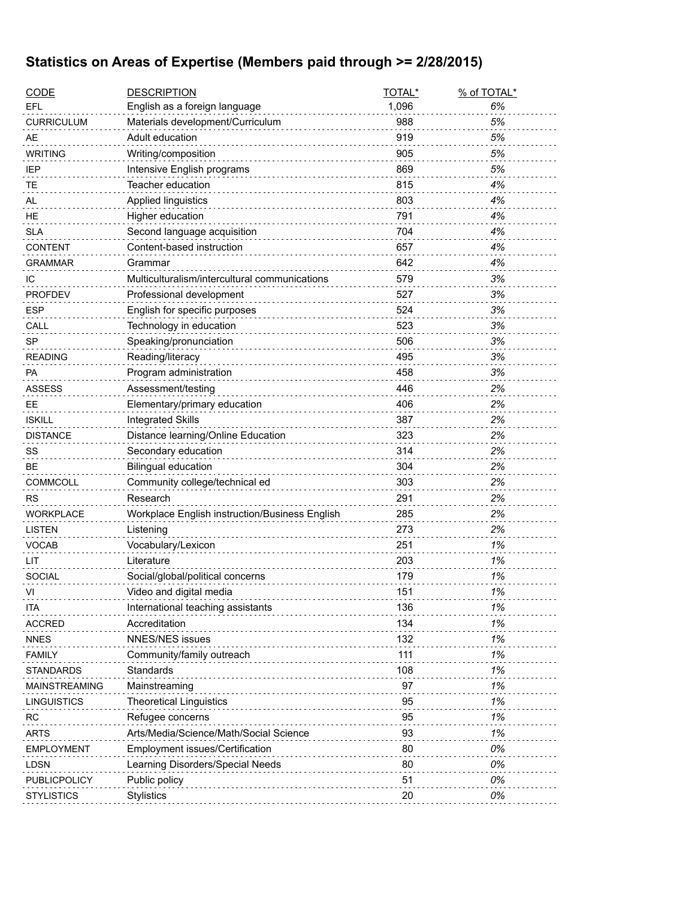### **Statistics on Areas of Expertise (Members paid through >= 2/28/2015)**

| <b>CODE</b>       | <b>DESCRIPTION</b>                             | TOTAL* | % of TOTAL* |
|-------------------|------------------------------------------------|--------|-------------|
| EFL               | English as a foreign language                  | 1,096  | 6%          |
| <b>CURRICULUM</b> | Materials development/Curriculum               | 988    | 5%          |
| <b>AE</b>         | Adult education                                | 919    | 5%          |
| <b>WRITING</b>    | Writing/composition                            | 905    | 5%          |
| <b>IEP</b>        | Intensive English programs                     | 869    | 5%          |
| TE                | Teacher education                              | 815    | 4%          |
| AL                | <b>Applied linguistics</b>                     | 803    | 4%          |
| HE                | Higher education                               | 791    | 4%          |
| <b>SLA</b>        | Second language acquisition                    | 704    | 4%          |
| CONTENT           | Content-based instruction                      | 657    | 4%          |
| <b>GRAMMAR</b>    | Grammar                                        | 642    | 4%          |
| IС                | Multiculturalism/intercultural communications  | 579    | 3%          |
| <b>PROFDEV</b>    | Professional development                       | 527    | 3%          |
| <b>ESP</b>        | English for specific purposes                  | 524    | 3%          |
| CALL              | Technology in education                        | 523    | 3%          |
| <b>SP</b>         | Speaking/pronunciation                         | 506    | 3%          |
| <b>READING</b>    | Reading/literacy                               | 495    | 3%          |
| PA                | Program administration                         | 458    | 3%          |
| <b>ASSESS</b>     | Assessment/testing                             | 446    | 2%          |
| <b>EE</b>         | Elementary/primary education                   | 406    | 2%          |
| <b>ISKILL</b>     | <b>Integrated Skills</b>                       | 387    | 2%          |
| <b>DISTANCE</b>   | Distance learning/Online Education             | 323    | 2%          |
| SS                | Secondary education                            | 314    | 2%          |
| BЕ                | <b>Bilingual education</b>                     | 304    | 2%          |
| COMMCOLL          | Community college/technical ed                 | 303    | 2%          |
| <b>RS</b>         | Research                                       | 291    | 2%          |
| <b>WORKPLACE</b>  | Workplace English instruction/Business English | 285    | 2%          |
| <b>LISTEN</b>     | Listening                                      | 273    | 2%          |
| <b>VOCAB</b>      | Vocabulary/Lexicon                             | 251    | 1%          |
| LIT               | Literature                                     | 203    | 1%          |
| <b>SOCIAL</b>     | Social/global/political concerns               | 179    | 1%          |
| VI                | Video and digital media                        | 151    | 1%          |
| <b>ITA</b>        | International teaching assistants              | 136    | 1%          |
| <b>ACCRED</b>     | Accreditation                                  | 134    | 1%          |
| <b>NNES</b>       | <b>NNES/NES issues</b>                         | 132    | 1%          |
| <b>FAMILY</b>     | Community/family outreach                      | 111    | 1%          |
| STANDARDS         | Standards                                      | 108    | 1%          |
| MAINSTREAMING     | Mainstreaming                                  | 97     | 1%          |
| LINGUISTICS       | <b>Theoretical Linguistics</b>                 | 95     | 1%          |
| RC                | Refugee concerns                               | 95     | 1%          |
| <b>ARTS</b>       | Arts/Media/Science/Math/Social Science         | 93     | 1%          |
| <b>EMPLOYMENT</b> | <b>Employment issues/Certification</b>         | 80     | 0%          |
| <b>LDSN</b>       | Learning Disorders/Special Needs               | 80     | 0%          |
| PUBLICPOLICY      | Public policy                                  | 51     | 0%          |
| <b>STYLISTICS</b> | <b>Stylistics</b>                              | 20     | 0%          |